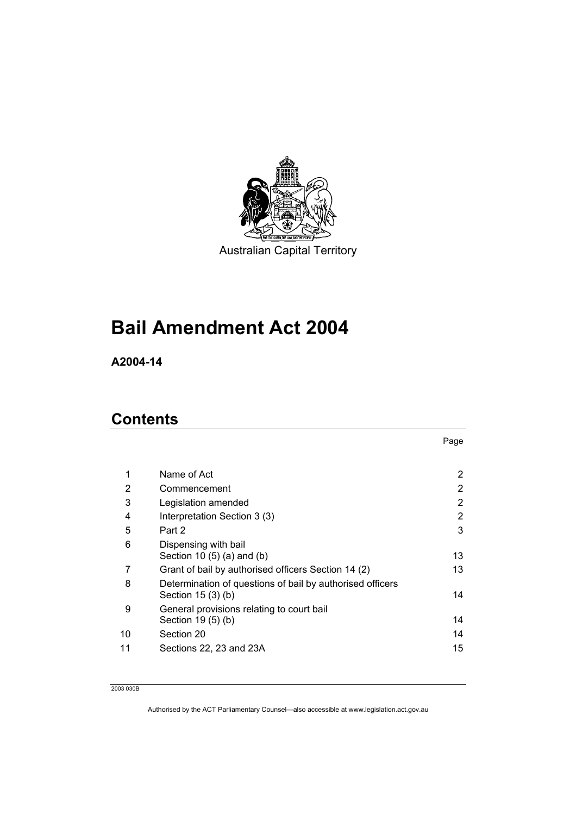

Australian Capital Territory

# **Bail Amendment Act 2004**

**A2004-14** 

## **Contents**

| <br>×<br>۰. |  |
|-------------|--|

| 1  | Name of Act                                                                     | $\mathbf{2}^{\prime}$ |
|----|---------------------------------------------------------------------------------|-----------------------|
| 2  | Commencement                                                                    | 2                     |
| 3  | Legislation amended                                                             | $\mathbf{2}^{\prime}$ |
| 4  | Interpretation Section 3 (3)                                                    | 2                     |
| 5  | Part 2                                                                          | 3                     |
| 6  | Dispensing with bail<br>Section 10 $(5)$ $(a)$ and $(b)$                        | 13                    |
| 7  | Grant of bail by authorised officers Section 14 (2)                             | 13                    |
| 8  | Determination of questions of bail by authorised officers<br>Section $15(3)(b)$ | 14                    |
| 9  | General provisions relating to court bail<br>Section 19 (5) (b)                 | 14                    |
| 10 | Section 20                                                                      | 14                    |
| 11 | Sections 22, 23 and 23A                                                         | 15                    |
|    |                                                                                 |                       |

2003 030B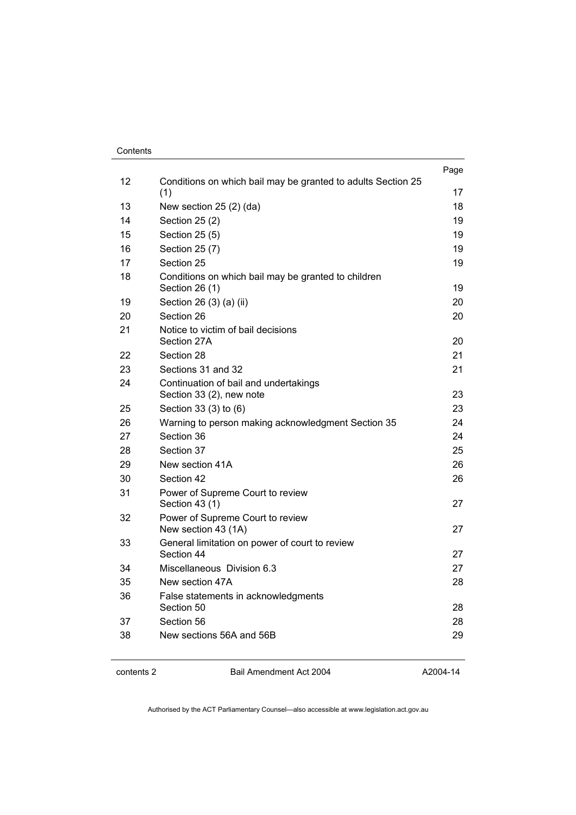#### **Contents**

|    |                                                                       | Page |
|----|-----------------------------------------------------------------------|------|
| 12 | Conditions on which bail may be granted to adults Section 25<br>(1)   | 17   |
| 13 | New section 25 (2) (da)                                               | 18   |
| 14 | Section 25 (2)                                                        | 19   |
| 15 | Section 25 (5)                                                        | 19   |
| 16 | Section 25 (7)                                                        | 19   |
| 17 | Section 25                                                            | 19   |
| 18 | Conditions on which bail may be granted to children<br>Section 26 (1) | 19   |
| 19 | Section 26 (3) (a) (ii)                                               | 20   |
| 20 | Section 26                                                            | 20   |
| 21 | Notice to victim of bail decisions                                    |      |
|    | Section 27A                                                           | 20   |
| 22 | Section 28                                                            | 21   |
| 23 | Sections 31 and 32                                                    | 21   |
| 24 | Continuation of bail and undertakings<br>Section 33 (2), new note     | 23   |
| 25 | Section 33 (3) to (6)                                                 | 23   |
| 26 | Warning to person making acknowledgment Section 35                    | 24   |
| 27 | Section 36                                                            | 24   |
| 28 | Section 37                                                            | 25   |
| 29 | New section 41A                                                       | 26   |
| 30 | Section 42                                                            | 26   |
| 31 | Power of Supreme Court to review<br>Section 43 (1)                    | 27   |
| 32 | Power of Supreme Court to review<br>New section 43 (1A)               | 27   |
| 33 | General limitation on power of court to review<br>Section 44          | 27   |
| 34 | Miscellaneous Division 6.3                                            | 27   |
| 35 | New section 47A                                                       | 28   |
| 36 | False statements in acknowledgments<br>Section 50                     | 28   |
| 37 | Section 56                                                            | 28   |
| 38 | New sections 56A and 56B                                              | 29   |
|    |                                                                       |      |

contents 2 Bail Amendment Act 2004

A2004-14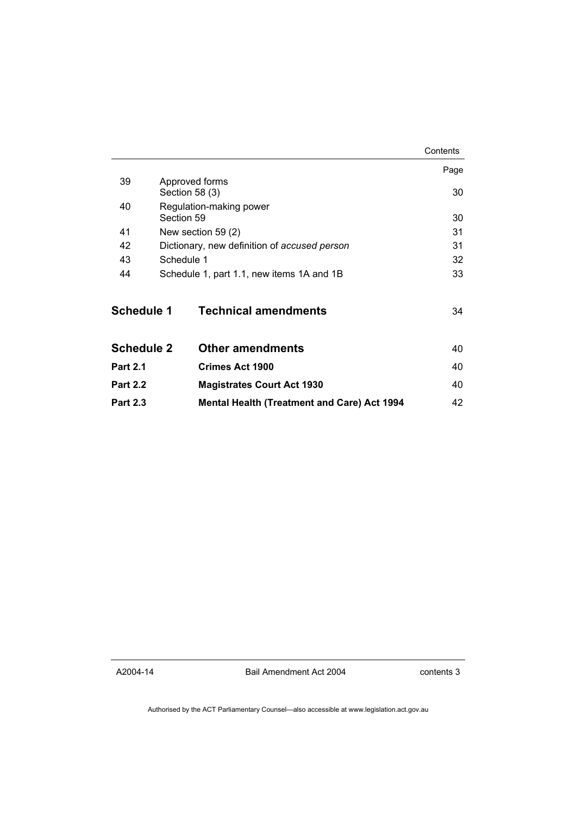|                   |                                                    | Contents |
|-------------------|----------------------------------------------------|----------|
|                   |                                                    | Page     |
| 39                | Approved forms<br>Section 58 (3)                   |          |
| 40                | Regulation-making power                            |          |
|                   | Section 59                                         | 30       |
| 41                | New section 59 (2)                                 |          |
| 42                | Dictionary, new definition of accused person       |          |
| 43                | Schedule 1                                         |          |
| 44                | Schedule 1, part 1.1, new items 1A and 1B          |          |
| <b>Schedule 1</b> | <b>Technical amendments</b>                        | 34       |
| <b>Schedule 2</b> | <b>Other amendments</b>                            | 40       |
| <b>Part 2.1</b>   | <b>Crimes Act 1900</b>                             | 40       |
| <b>Part 2.2</b>   | <b>Magistrates Court Act 1930</b>                  | 40       |
| <b>Part 2.3</b>   | <b>Mental Health (Treatment and Care) Act 1994</b> | 42       |

A2004-14

Bail Amendment Act 2004

contents 3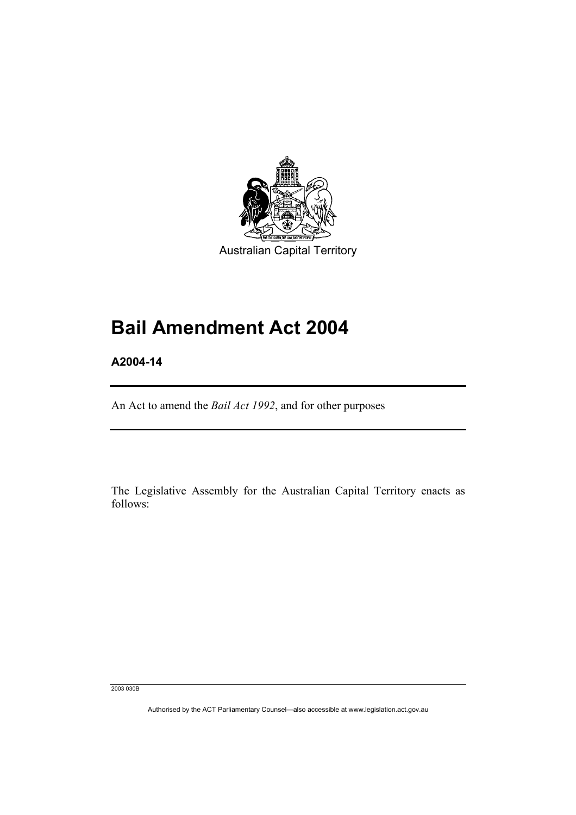

Australian Capital Territory

## **Bail Amendment Act 2004**

**A2004-14** 

An Act to amend the *Bail Act 1992*, and for other purposes

The Legislative Assembly for the Australian Capital Territory enacts as follows:

2003 030B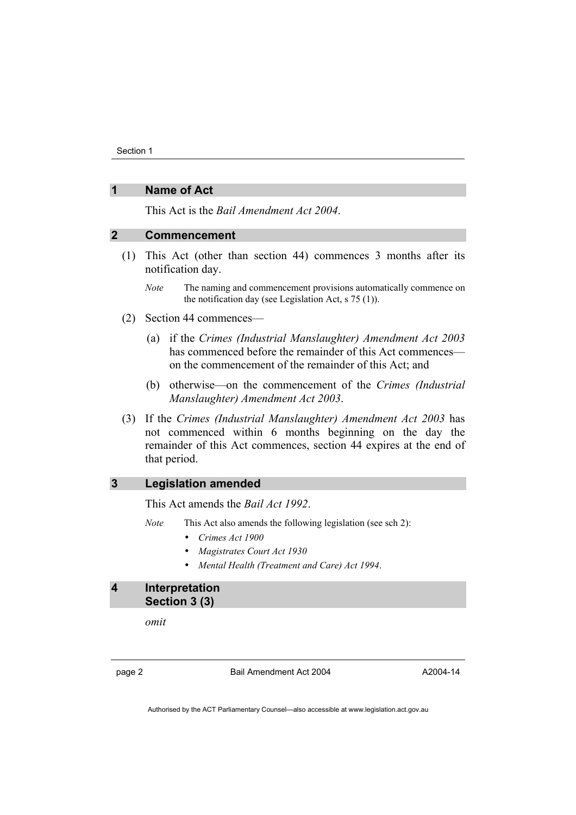## **1 Name of Act**

This Act is the *Bail Amendment Act 2004*.

## **2 Commencement**

- (1) This Act (other than section 44) commences 3 months after its notification day.
	- *Note* The naming and commencement provisions automatically commence on the notification day (see Legislation Act, s 75 (1)).
- (2) Section 44 commences—
	- (a) if the *Crimes (Industrial Manslaughter) Amendment Act 2003* has commenced before the remainder of this Act commences on the commencement of the remainder of this Act; and
	- (b) otherwise—on the commencement of the *Crimes (Industrial Manslaughter) Amendment Act 2003*.
- (3) If the *Crimes (Industrial Manslaughter) Amendment Act 2003* has not commenced within 6 months beginning on the day the remainder of this Act commences, section 44 expires at the end of that period.

## **3 Legislation amended**

This Act amends the *Bail Act 1992*.

- *Note* This Act also amends the following legislation (see sch 2):
	- *Crimes Act 1900*
	- *Magistrates Court Act 1930*
	- *Mental Health (Treatment and Care) Act 1994*.

## **4 Interpretation Section 3 (3)**

*omit* 

page 2 Bail Amendment Act 2004

A2004-14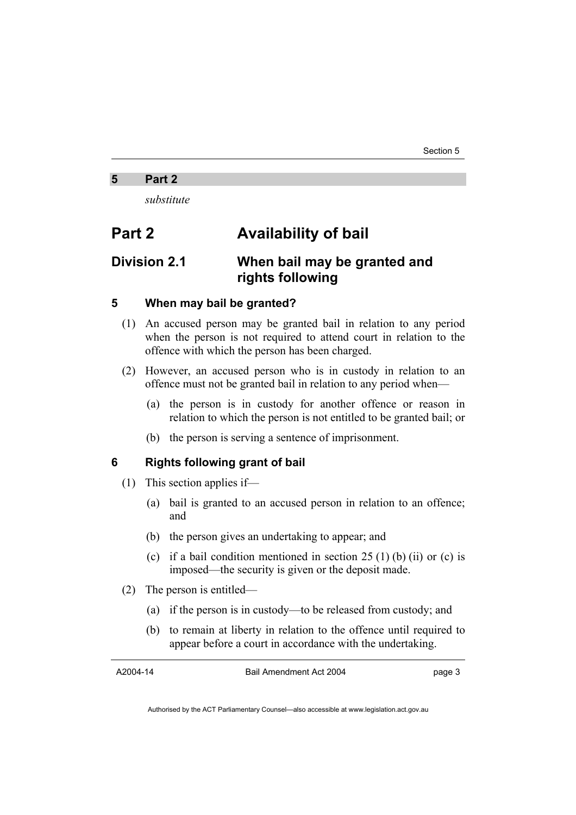#### **5 Part 2**

*substitute* 

## **Part 2 Availability of bail**

## **Division 2.1 When bail may be granted and rights following**

## **5 When may bail be granted?**

- (1) An accused person may be granted bail in relation to any period when the person is not required to attend court in relation to the offence with which the person has been charged.
- (2) However, an accused person who is in custody in relation to an offence must not be granted bail in relation to any period when—
	- (a) the person is in custody for another offence or reason in relation to which the person is not entitled to be granted bail; or
	- (b) the person is serving a sentence of imprisonment.

## **6 Rights following grant of bail**

- (1) This section applies if—
	- (a) bail is granted to an accused person in relation to an offence; and
	- (b) the person gives an undertaking to appear; and
	- (c) if a bail condition mentioned in section  $25(1)$  (b) (ii) or (c) is imposed—the security is given or the deposit made.
- (2) The person is entitled—
	- (a) if the person is in custody—to be released from custody; and
	- (b) to remain at liberty in relation to the offence until required to appear before a court in accordance with the undertaking.

A2004-14

Bail Amendment Act 2004

page 3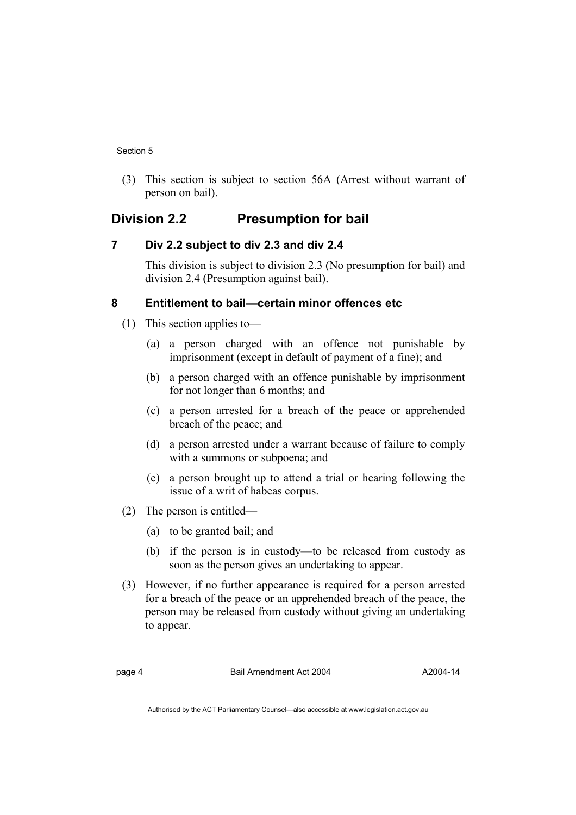(3) This section is subject to section 56A (Arrest without warrant of person on bail).

## **Division 2.2 Presumption for bail**

## **7 Div 2.2 subject to div 2.3 and div 2.4**

This division is subject to division 2.3 (No presumption for bail) and division 2.4 (Presumption against bail).

## **8 Entitlement to bail—certain minor offences etc**

- (1) This section applies to—
	- (a) a person charged with an offence not punishable by imprisonment (except in default of payment of a fine); and
	- (b) a person charged with an offence punishable by imprisonment for not longer than 6 months; and
	- (c) a person arrested for a breach of the peace or apprehended breach of the peace; and
	- (d) a person arrested under a warrant because of failure to comply with a summons or subpoena; and
	- (e) a person brought up to attend a trial or hearing following the issue of a writ of habeas corpus.
- (2) The person is entitled—
	- (a) to be granted bail; and
	- (b) if the person is in custody—to be released from custody as soon as the person gives an undertaking to appear.
- (3) However, if no further appearance is required for a person arrested for a breach of the peace or an apprehended breach of the peace, the person may be released from custody without giving an undertaking to appear.

page 4 Bail Amendment Act 2004

A2004-14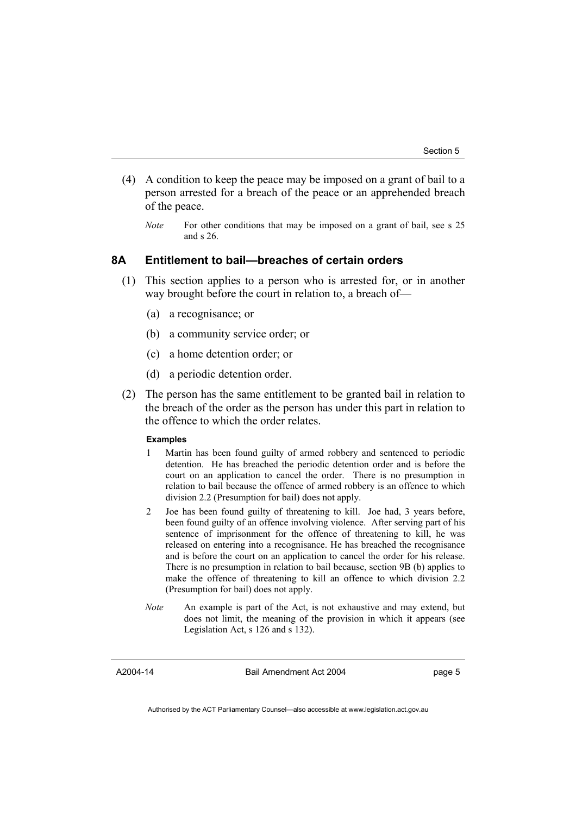- (4) A condition to keep the peace may be imposed on a grant of bail to a person arrested for a breach of the peace or an apprehended breach of the peace.
	- *Note* For other conditions that may be imposed on a grant of bail, see s 25 and s 26.

## **8A Entitlement to bail—breaches of certain orders**

- (1) This section applies to a person who is arrested for, or in another way brought before the court in relation to, a breach of—
	- (a) a recognisance; or
	- (b) a community service order; or
	- (c) a home detention order; or
	- (d) a periodic detention order.
- (2) The person has the same entitlement to be granted bail in relation to the breach of the order as the person has under this part in relation to the offence to which the order relates.

#### **Examples**

- 1 Martin has been found guilty of armed robbery and sentenced to periodic detention. He has breached the periodic detention order and is before the court on an application to cancel the order. There is no presumption in relation to bail because the offence of armed robbery is an offence to which division 2.2 (Presumption for bail) does not apply.
- 2 Joe has been found guilty of threatening to kill. Joe had, 3 years before, been found guilty of an offence involving violence. After serving part of his sentence of imprisonment for the offence of threatening to kill, he was released on entering into a recognisance. He has breached the recognisance and is before the court on an application to cancel the order for his release. There is no presumption in relation to bail because, section 9B (b) applies to make the offence of threatening to kill an offence to which division 2.2 (Presumption for bail) does not apply.
- *Note* An example is part of the Act, is not exhaustive and may extend, but does not limit, the meaning of the provision in which it appears (see Legislation Act, s 126 and s 132).

A2004-14

Bail Amendment Act 2004

page 5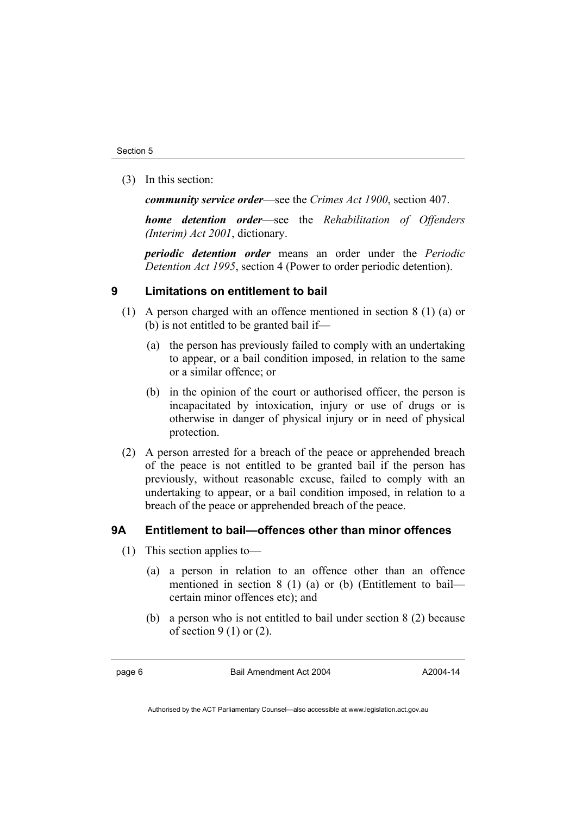(3) In this section:

*community service order*—see the *Crimes Act 1900*, section 407.

*home detention order*—see the *Rehabilitation of Offenders (Interim) Act 2001*, dictionary.

*periodic detention order* means an order under the *Periodic Detention Act 1995*, section 4 (Power to order periodic detention).

## **9 Limitations on entitlement to bail**

- (1) A person charged with an offence mentioned in section 8 (1) (a) or (b) is not entitled to be granted bail if—
	- (a) the person has previously failed to comply with an undertaking to appear, or a bail condition imposed, in relation to the same or a similar offence; or
	- (b) in the opinion of the court or authorised officer, the person is incapacitated by intoxication, injury or use of drugs or is otherwise in danger of physical injury or in need of physical protection.
- (2) A person arrested for a breach of the peace or apprehended breach of the peace is not entitled to be granted bail if the person has previously, without reasonable excuse, failed to comply with an undertaking to appear, or a bail condition imposed, in relation to a breach of the peace or apprehended breach of the peace.

## **9A Entitlement to bail—offences other than minor offences**

- (1) This section applies to—
	- (a) a person in relation to an offence other than an offence mentioned in section 8 (1) (a) or (b) (Entitlement to bail certain minor offences etc); and
	- (b) a person who is not entitled to bail under section 8 (2) because of section  $9(1)$  or  $(2)$ .

page 6 Bail Amendment Act 2004

A2004-14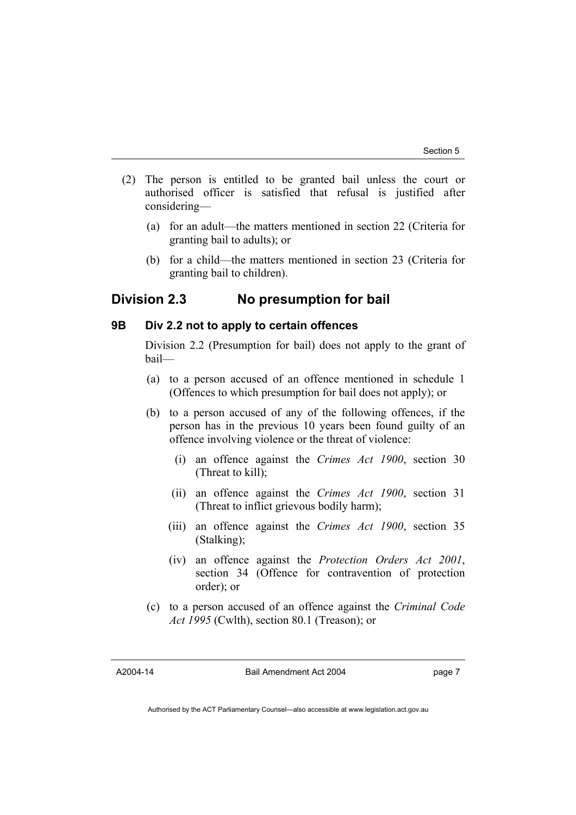- (2) The person is entitled to be granted bail unless the court or authorised officer is satisfied that refusal is justified after considering—
	- (a) for an adult—the matters mentioned in section 22 (Criteria for granting bail to adults); or
	- (b) for a child—the matters mentioned in section 23 (Criteria for granting bail to children).

## **Division 2.3 No presumption for bail**

## **9B Div 2.2 not to apply to certain offences**

Division 2.2 (Presumption for bail) does not apply to the grant of bail—

- (a) to a person accused of an offence mentioned in schedule 1 (Offences to which presumption for bail does not apply); or
- (b) to a person accused of any of the following offences, if the person has in the previous 10 years been found guilty of an offence involving violence or the threat of violence:
	- (i) an offence against the *Crimes Act 1900*, section 30 (Threat to kill);
	- (ii) an offence against the *Crimes Act 1900*, section 31 (Threat to inflict grievous bodily harm);
	- (iii) an offence against the *Crimes Act 1900*, section 35 (Stalking);
	- (iv) an offence against the *Protection Orders Act 2001*, section 34 (Offence for contravention of protection order); or
- (c) to a person accused of an offence against the *Criminal Code Act 1995* (Cwlth), section 80.1 (Treason); or

A2004-14

Bail Amendment Act 2004

page 7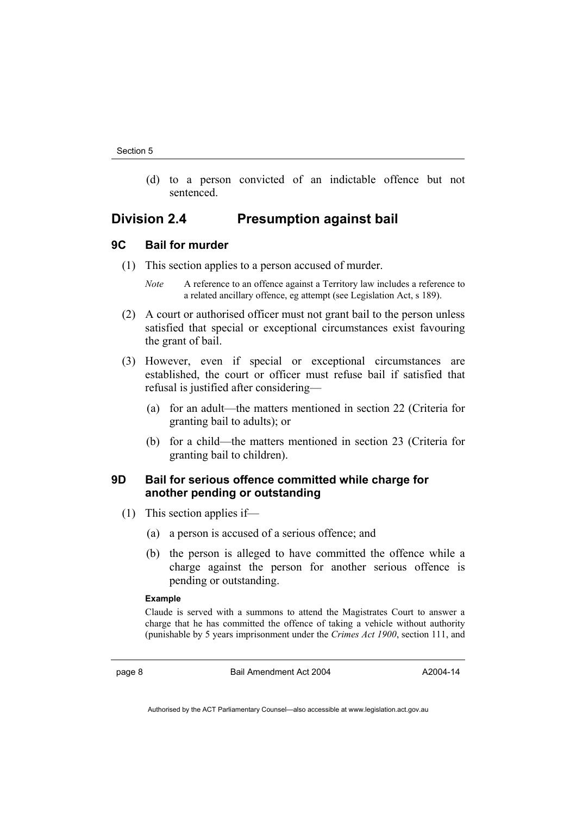(d) to a person convicted of an indictable offence but not sentenced.

## **Division 2.4 Presumption against bail**

## **9C Bail for murder**

- (1) This section applies to a person accused of murder.
	- *Note* A reference to an offence against a Territory law includes a reference to a related ancillary offence, eg attempt (see Legislation Act, s 189).
- (2) A court or authorised officer must not grant bail to the person unless satisfied that special or exceptional circumstances exist favouring the grant of bail.
- (3) However, even if special or exceptional circumstances are established, the court or officer must refuse bail if satisfied that refusal is justified after considering—
	- (a) for an adult—the matters mentioned in section 22 (Criteria for granting bail to adults); or
	- (b) for a child—the matters mentioned in section 23 (Criteria for granting bail to children).

## **9D Bail for serious offence committed while charge for another pending or outstanding**

- (1) This section applies if—
	- (a) a person is accused of a serious offence; and
	- (b) the person is alleged to have committed the offence while a charge against the person for another serious offence is pending or outstanding.

#### **Example**

Claude is served with a summons to attend the Magistrates Court to answer a charge that he has committed the offence of taking a vehicle without authority (punishable by 5 years imprisonment under the *Crimes Act 1900*, section 111, and

page 8 Bail Amendment Act 2004

A2004-14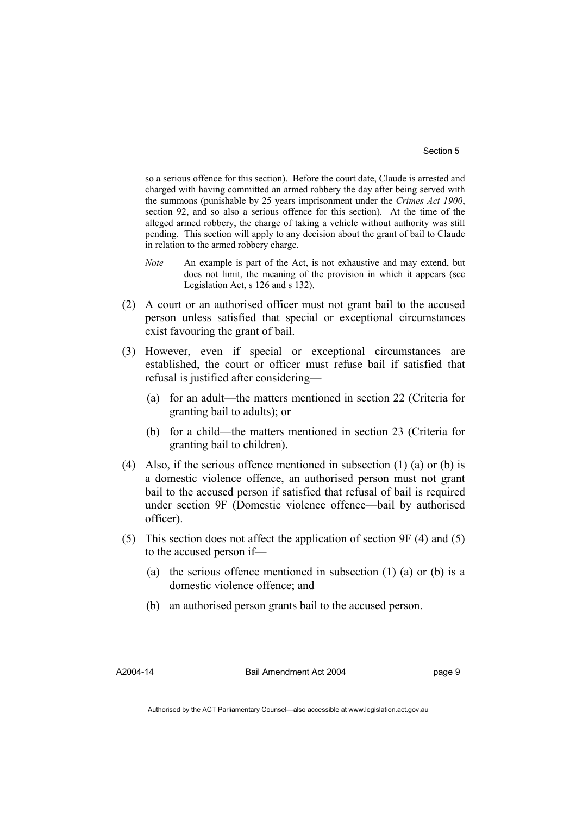so a serious offence for this section). Before the court date, Claude is arrested and charged with having committed an armed robbery the day after being served with the summons (punishable by 25 years imprisonment under the *Crimes Act 1900*, section 92, and so also a serious offence for this section). At the time of the alleged armed robbery, the charge of taking a vehicle without authority was still pending. This section will apply to any decision about the grant of bail to Claude in relation to the armed robbery charge.

- *Note* An example is part of the Act, is not exhaustive and may extend, but does not limit, the meaning of the provision in which it appears (see Legislation Act, s 126 and s 132).
- (2) A court or an authorised officer must not grant bail to the accused person unless satisfied that special or exceptional circumstances exist favouring the grant of bail.
- (3) However, even if special or exceptional circumstances are established, the court or officer must refuse bail if satisfied that refusal is justified after considering—
	- (a) for an adult—the matters mentioned in section 22 (Criteria for granting bail to adults); or
	- (b) for a child—the matters mentioned in section 23 (Criteria for granting bail to children).
- (4) Also, if the serious offence mentioned in subsection (1) (a) or (b) is a domestic violence offence, an authorised person must not grant bail to the accused person if satisfied that refusal of bail is required under section 9F (Domestic violence offence—bail by authorised officer).
- (5) This section does not affect the application of section 9F (4) and (5) to the accused person if—
	- (a) the serious offence mentioned in subsection (1) (a) or (b) is a domestic violence offence; and
	- (b) an authorised person grants bail to the accused person.

A2004-14

Bail Amendment Act 2004

page 9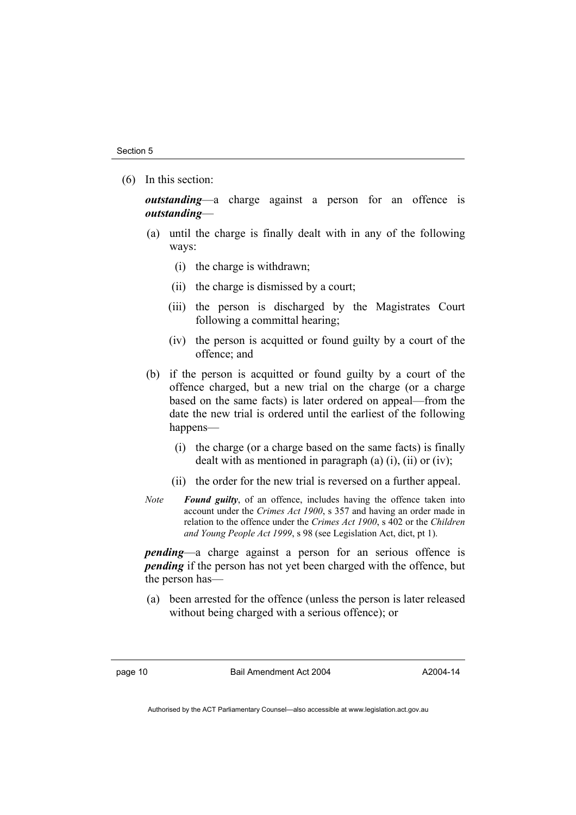(6) In this section:

*outstanding*—a charge against a person for an offence is *outstanding*—

- (a) until the charge is finally dealt with in any of the following ways:
	- (i) the charge is withdrawn;
	- (ii) the charge is dismissed by a court;
	- (iii) the person is discharged by the Magistrates Court following a committal hearing;
	- (iv) the person is acquitted or found guilty by a court of the offence; and
- (b) if the person is acquitted or found guilty by a court of the offence charged, but a new trial on the charge (or a charge based on the same facts) is later ordered on appeal—from the date the new trial is ordered until the earliest of the following happens—
	- (i) the charge (or a charge based on the same facts) is finally dealt with as mentioned in paragraph (a)  $(i)$ ,  $(ii)$  or  $(iv)$ ;
	- (ii) the order for the new trial is reversed on a further appeal.
- *Note Found guilty*, of an offence, includes having the offence taken into account under the *Crimes Act 1900*, s 357 and having an order made in relation to the offence under the *Crimes Act 1900*, s 402 or the *Children and Young People Act 1999*, s 98 (see Legislation Act, dict, pt 1).

*pending*—a charge against a person for an serious offence is *pending* if the person has not yet been charged with the offence, but the person has—

 (a) been arrested for the offence (unless the person is later released without being charged with a serious offence); or

page 10 Bail Amendment Act 2004

A2004-14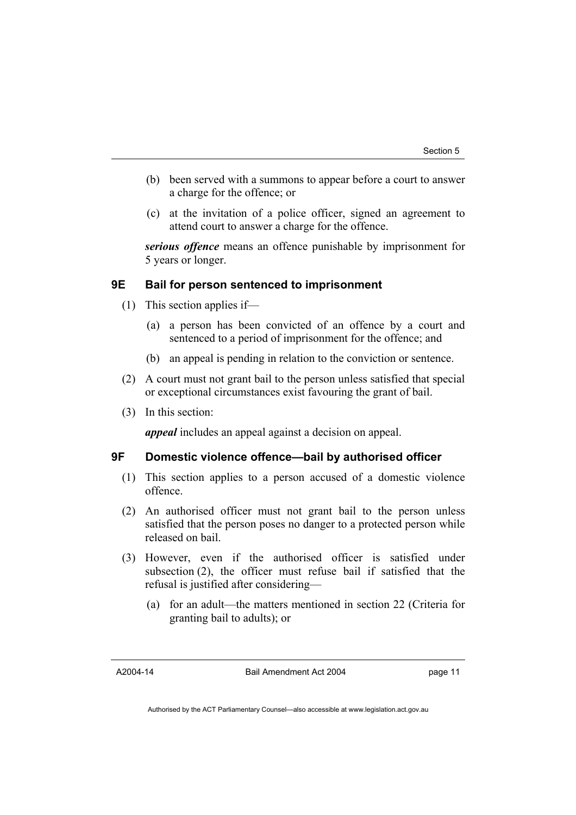- (b) been served with a summons to appear before a court to answer a charge for the offence; or
- (c) at the invitation of a police officer, signed an agreement to attend court to answer a charge for the offence.

*serious offence* means an offence punishable by imprisonment for 5 years or longer.

## **9E Bail for person sentenced to imprisonment**

- (1) This section applies if—
	- (a) a person has been convicted of an offence by a court and sentenced to a period of imprisonment for the offence; and
	- (b) an appeal is pending in relation to the conviction or sentence.
- (2) A court must not grant bail to the person unless satisfied that special or exceptional circumstances exist favouring the grant of bail.
- (3) In this section:

*appeal* includes an appeal against a decision on appeal.

## **9F Domestic violence offence—bail by authorised officer**

- (1) This section applies to a person accused of a domestic violence offence.
- (2) An authorised officer must not grant bail to the person unless satisfied that the person poses no danger to a protected person while released on bail.
- (3) However, even if the authorised officer is satisfied under subsection (2), the officer must refuse bail if satisfied that the refusal is justified after considering—
	- (a) for an adult—the matters mentioned in section 22 (Criteria for granting bail to adults); or

A2004-14

Bail Amendment Act 2004

page 11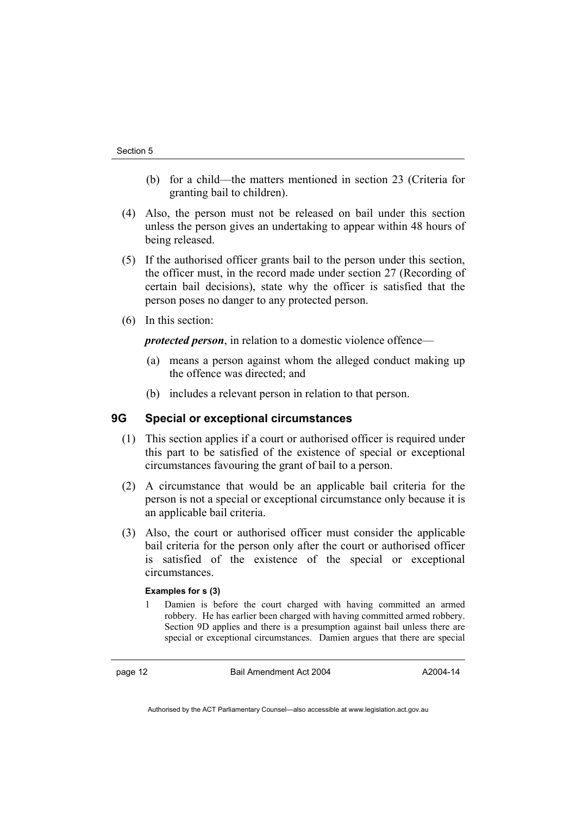- (b) for a child—the matters mentioned in section 23 (Criteria for granting bail to children).
- (4) Also, the person must not be released on bail under this section unless the person gives an undertaking to appear within 48 hours of being released.
- (5) If the authorised officer grants bail to the person under this section, the officer must, in the record made under section 27 (Recording of certain bail decisions), state why the officer is satisfied that the person poses no danger to any protected person.
- (6) In this section:

*protected person*, in relation to a domestic violence offence—

- (a) means a person against whom the alleged conduct making up the offence was directed; and
- (b) includes a relevant person in relation to that person.

## **9G Special or exceptional circumstances**

- (1) This section applies if a court or authorised officer is required under this part to be satisfied of the existence of special or exceptional circumstances favouring the grant of bail to a person.
- (2) A circumstance that would be an applicable bail criteria for the person is not a special or exceptional circumstance only because it is an applicable bail criteria.
- (3) Also, the court or authorised officer must consider the applicable bail criteria for the person only after the court or authorised officer is satisfied of the existence of the special or exceptional circumstances.

#### **Examples for s (3)**

1 Damien is before the court charged with having committed an armed robbery. He has earlier been charged with having committed armed robbery. Section 9D applies and there is a presumption against bail unless there are special or exceptional circumstances. Damien argues that there are special

page 12 Bail Amendment Act 2004

A2004-14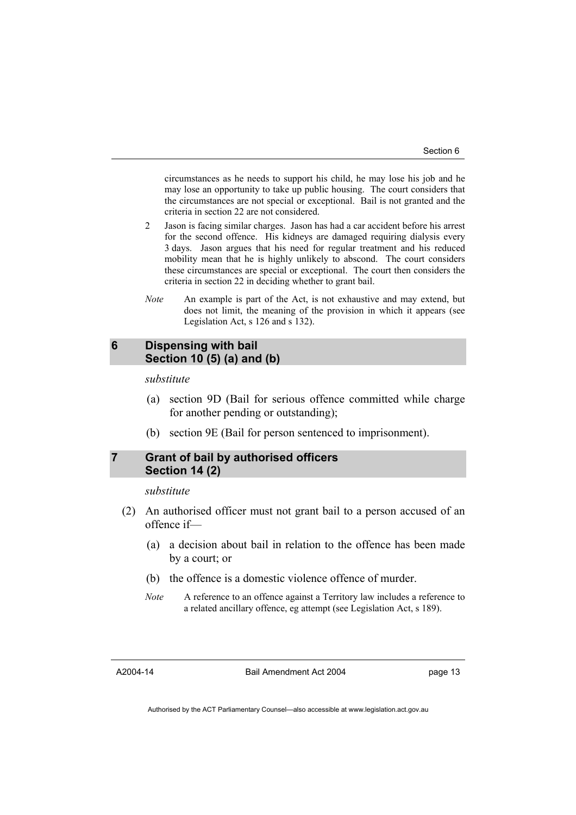circumstances as he needs to support his child, he may lose his job and he may lose an opportunity to take up public housing. The court considers that the circumstances are not special or exceptional. Bail is not granted and the criteria in section 22 are not considered.

- 2 Jason is facing similar charges. Jason has had a car accident before his arrest for the second offence. His kidneys are damaged requiring dialysis every 3 days. Jason argues that his need for regular treatment and his reduced mobility mean that he is highly unlikely to abscond. The court considers these circumstances are special or exceptional. The court then considers the criteria in section 22 in deciding whether to grant bail.
- *Note* An example is part of the Act, is not exhaustive and may extend, but does not limit, the meaning of the provision in which it appears (see Legislation Act, s 126 and s 132).

## **6 Dispensing with bail Section 10 (5) (a) and (b)**

#### *substitute*

- (a) section 9D (Bail for serious offence committed while charge for another pending or outstanding);
- (b) section 9E (Bail for person sentenced to imprisonment).

## **7 Grant of bail by authorised officers Section 14 (2)**

#### *substitute*

- (2) An authorised officer must not grant bail to a person accused of an offence if—
	- (a) a decision about bail in relation to the offence has been made by a court; or
	- (b) the offence is a domestic violence offence of murder.
	- *Note* A reference to an offence against a Territory law includes a reference to a related ancillary offence, eg attempt (see Legislation Act, s 189).

A2004-14

Bail Amendment Act 2004

page 13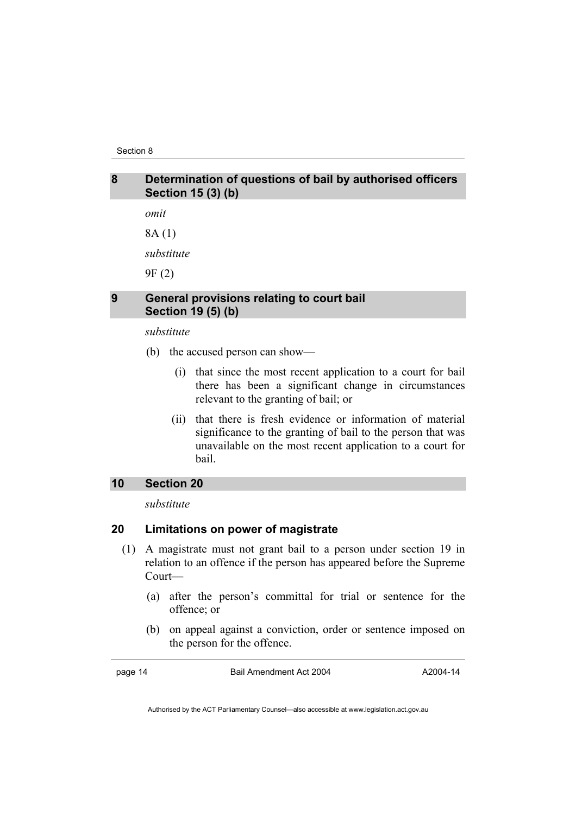Section 8

## **8 Determination of questions of bail by authorised officers Section 15 (3) (b)**

*omit*  8A (1)

*substitute* 

9F (2)

## **9 General provisions relating to court bail Section 19 (5) (b)**

*substitute* 

- (b) the accused person can show—
	- (i) that since the most recent application to a court for bail there has been a significant change in circumstances relevant to the granting of bail; or
	- (ii) that there is fresh evidence or information of material significance to the granting of bail to the person that was unavailable on the most recent application to a court for bail.

## **10 Section 20**

*substitute* 

## **20 Limitations on power of magistrate**

- (1) A magistrate must not grant bail to a person under section 19 in relation to an offence if the person has appeared before the Supreme Court—
	- (a) after the person's committal for trial or sentence for the offence; or
	- (b) on appeal against a conviction, order or sentence imposed on the person for the offence.

page 14 Bail Amendment Act 2004

A2004-14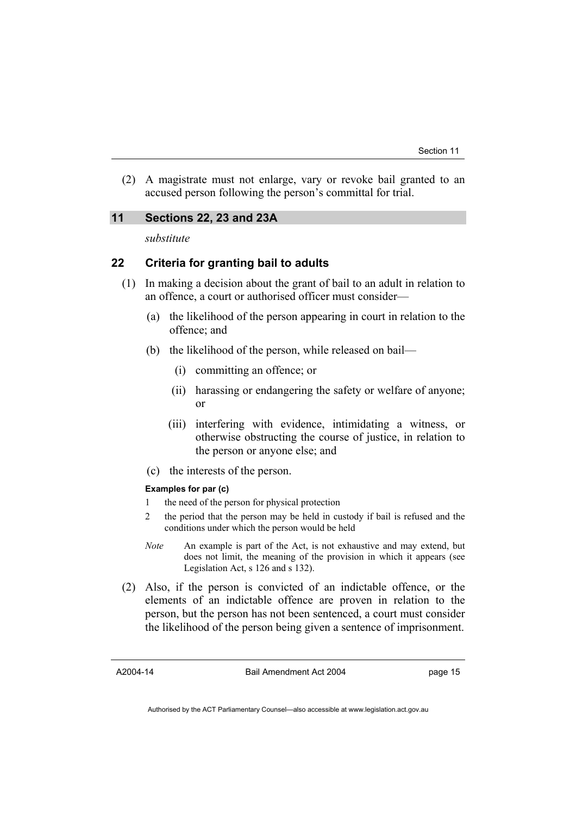(2) A magistrate must not enlarge, vary or revoke bail granted to an accused person following the person's committal for trial.

## **11 Sections 22, 23 and 23A**

*substitute* 

## **22 Criteria for granting bail to adults**

- (1) In making a decision about the grant of bail to an adult in relation to an offence, a court or authorised officer must consider—
	- (a) the likelihood of the person appearing in court in relation to the offence; and
	- (b) the likelihood of the person, while released on bail—
		- (i) committing an offence; or
		- (ii) harassing or endangering the safety or welfare of anyone; or
		- (iii) interfering with evidence, intimidating a witness, or otherwise obstructing the course of justice, in relation to the person or anyone else; and
	- (c) the interests of the person.

#### **Examples for par (c)**

- 1 the need of the person for physical protection
- 2 the period that the person may be held in custody if bail is refused and the conditions under which the person would be held
- *Note* An example is part of the Act, is not exhaustive and may extend, but does not limit, the meaning of the provision in which it appears (see Legislation Act, s 126 and s 132).
- (2) Also, if the person is convicted of an indictable offence, or the elements of an indictable offence are proven in relation to the person, but the person has not been sentenced, a court must consider the likelihood of the person being given a sentence of imprisonment.

A2004-14

Bail Amendment Act 2004

page 15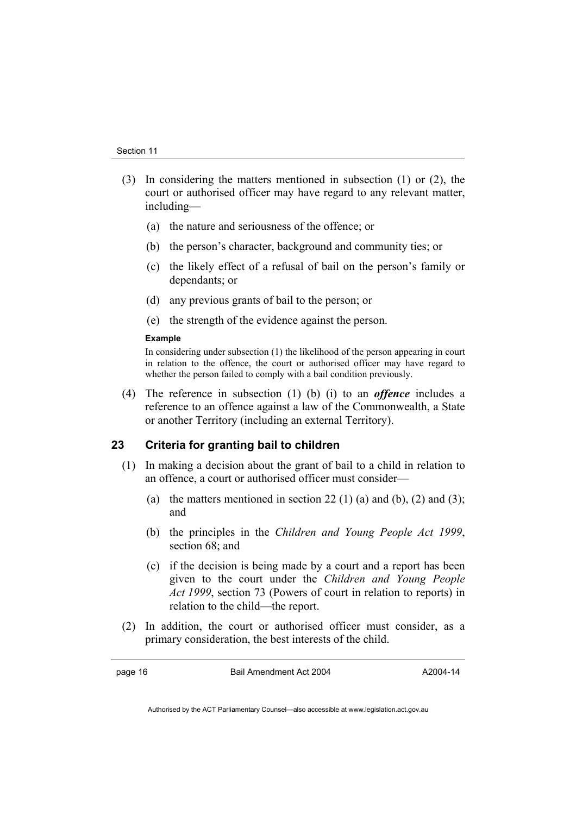- (3) In considering the matters mentioned in subsection (1) or (2), the court or authorised officer may have regard to any relevant matter, including—
	- (a) the nature and seriousness of the offence; or
	- (b) the person's character, background and community ties; or
	- (c) the likely effect of a refusal of bail on the person's family or dependants; or
	- (d) any previous grants of bail to the person; or
	- (e) the strength of the evidence against the person.

#### **Example**

In considering under subsection (1) the likelihood of the person appearing in court in relation to the offence, the court or authorised officer may have regard to whether the person failed to comply with a bail condition previously.

 (4) The reference in subsection (1) (b) (i) to an *offence* includes a reference to an offence against a law of the Commonwealth, a State or another Territory (including an external Territory).

### **23 Criteria for granting bail to children**

- (1) In making a decision about the grant of bail to a child in relation to an offence, a court or authorised officer must consider—
	- (a) the matters mentioned in section 22 (1) (a) and (b), (2) and (3); and
	- (b) the principles in the *Children and Young People Act 1999*, section 68; and
	- (c) if the decision is being made by a court and a report has been given to the court under the *Children and Young People Act 1999*, section 73 (Powers of court in relation to reports) in relation to the child—the report.
- (2) In addition, the court or authorised officer must consider, as a primary consideration, the best interests of the child.

page 16 Bail Amendment Act 2004

A2004-14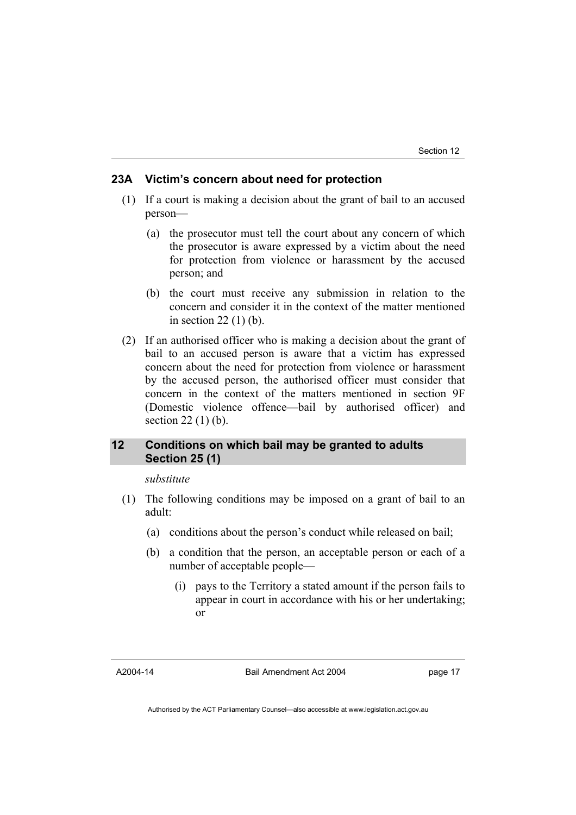### **23A Victim's concern about need for protection**

- (1) If a court is making a decision about the grant of bail to an accused person—
	- (a) the prosecutor must tell the court about any concern of which the prosecutor is aware expressed by a victim about the need for protection from violence or harassment by the accused person; and
	- (b) the court must receive any submission in relation to the concern and consider it in the context of the matter mentioned in section 22 (1) (b).
- (2) If an authorised officer who is making a decision about the grant of bail to an accused person is aware that a victim has expressed concern about the need for protection from violence or harassment by the accused person, the authorised officer must consider that concern in the context of the matters mentioned in section 9F (Domestic violence offence—bail by authorised officer) and section 22 (1) (b).

## **12 Conditions on which bail may be granted to adults Section 25 (1)**

#### *substitute*

- (1) The following conditions may be imposed on a grant of bail to an adult:
	- (a) conditions about the person's conduct while released on bail;
	- (b) a condition that the person, an acceptable person or each of a number of acceptable people—
		- (i) pays to the Territory a stated amount if the person fails to appear in court in accordance with his or her undertaking; or

A2004-14

Bail Amendment Act 2004

page 17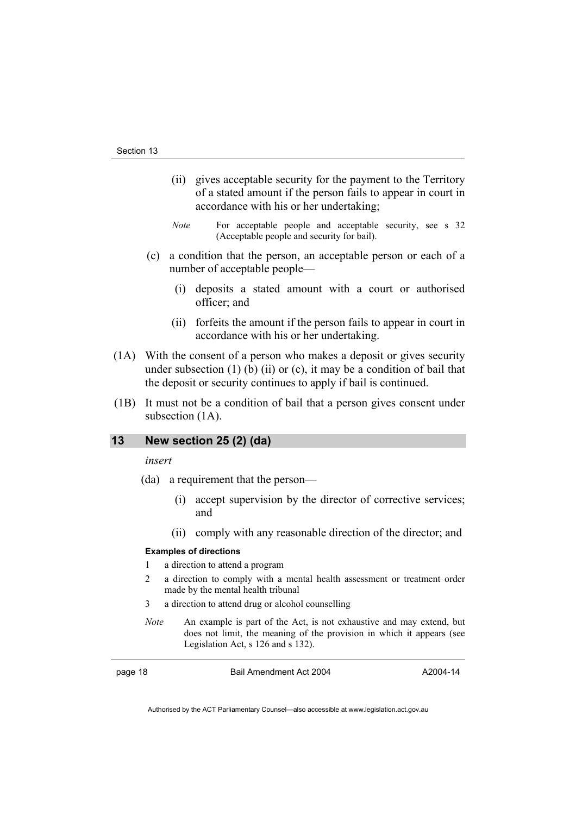- (ii) gives acceptable security for the payment to the Territory of a stated amount if the person fails to appear in court in accordance with his or her undertaking;
- *Note* For acceptable people and acceptable security, see s 32 (Acceptable people and security for bail).
- (c) a condition that the person, an acceptable person or each of a number of acceptable people—
	- (i) deposits a stated amount with a court or authorised officer; and
	- (ii) forfeits the amount if the person fails to appear in court in accordance with his or her undertaking.
- (1A) With the consent of a person who makes a deposit or gives security under subsection  $(1)$  (b)  $(ii)$  or  $(c)$ , it may be a condition of bail that the deposit or security continues to apply if bail is continued.
- (1B) It must not be a condition of bail that a person gives consent under subsection  $(1A)$ .

## **13 New section 25 (2) (da)**

*insert* 

- (da) a requirement that the person—
	- (i) accept supervision by the director of corrective services; and
	- (ii) comply with any reasonable direction of the director; and

#### **Examples of directions**

- 1 a direction to attend a program
- 2 a direction to comply with a mental health assessment or treatment order made by the mental health tribunal
- 3 a direction to attend drug or alcohol counselling
- *Note* An example is part of the Act, is not exhaustive and may extend, but does not limit, the meaning of the provision in which it appears (see Legislation Act, s 126 and s 132).

page 18 Bail Amendment Act 2004

A2004-14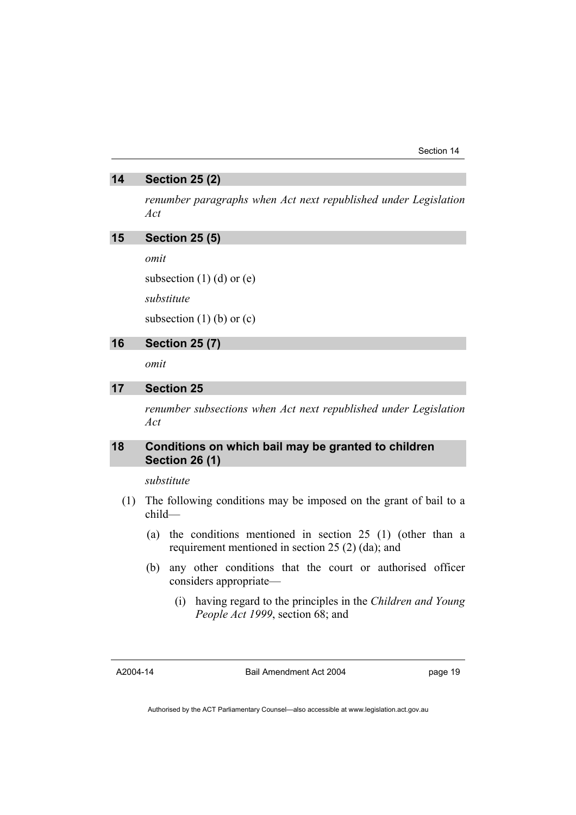## **14 Section 25 (2)**

*renumber paragraphs when Act next republished under Legislation Act* 

## **15 Section 25 (5)**

*omit* 

subsection  $(1)$   $(d)$  or  $(e)$ 

*substitute* 

subsection  $(1)$  (b) or  $(c)$ 

## **16 Section 25 (7)**

*omit* 

## **17 Section 25**

*renumber subsections when Act next republished under Legislation Act* 

## **18 Conditions on which bail may be granted to children Section 26 (1)**

*substitute* 

- (1) The following conditions may be imposed on the grant of bail to a child—
	- (a) the conditions mentioned in section 25 (1) (other than a requirement mentioned in section 25 (2) (da); and
	- (b) any other conditions that the court or authorised officer considers appropriate—
		- (i) having regard to the principles in the *Children and Young People Act 1999*, section 68; and

A2004-14

Bail Amendment Act 2004

page 19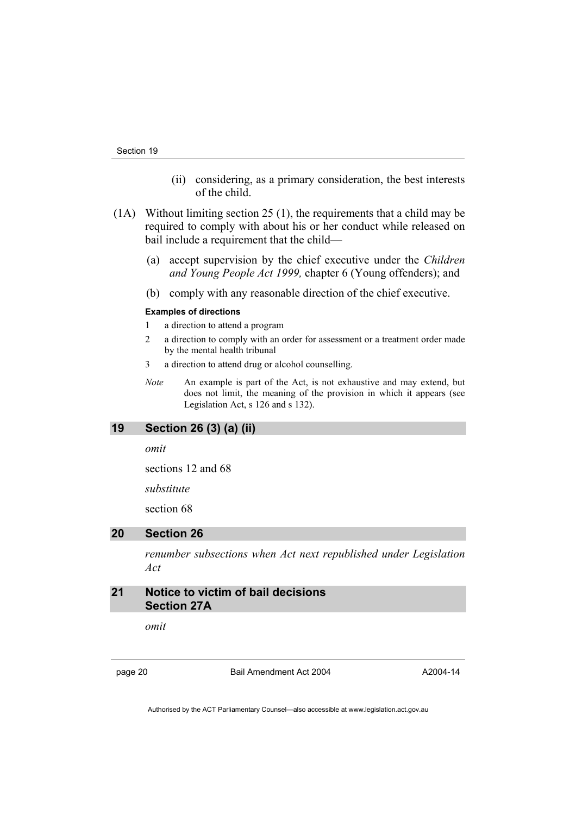- (ii) considering, as a primary consideration, the best interests of the child.
- (1A) Without limiting section 25 (1), the requirements that a child may be required to comply with about his or her conduct while released on bail include a requirement that the child—
	- (a) accept supervision by the chief executive under the *Children and Young People Act 1999,* chapter 6 (Young offenders); and
	- (b) comply with any reasonable direction of the chief executive.

#### **Examples of directions**

- 1 a direction to attend a program
- 2 a direction to comply with an order for assessment or a treatment order made by the mental health tribunal
- 3 a direction to attend drug or alcohol counselling.
- *Note* An example is part of the Act, is not exhaustive and may extend, but does not limit, the meaning of the provision in which it appears (see Legislation Act, s 126 and s 132).

## **19 Section 26 (3) (a) (ii)**

*omit* 

sections 12 and 68

*substitute* 

section 68

### **20 Section 26**

*renumber subsections when Act next republished under Legislation Act* 

## **21 Notice to victim of bail decisions Section 27A**

*omit* 

page 20 Bail Amendment Act 2004

A2004-14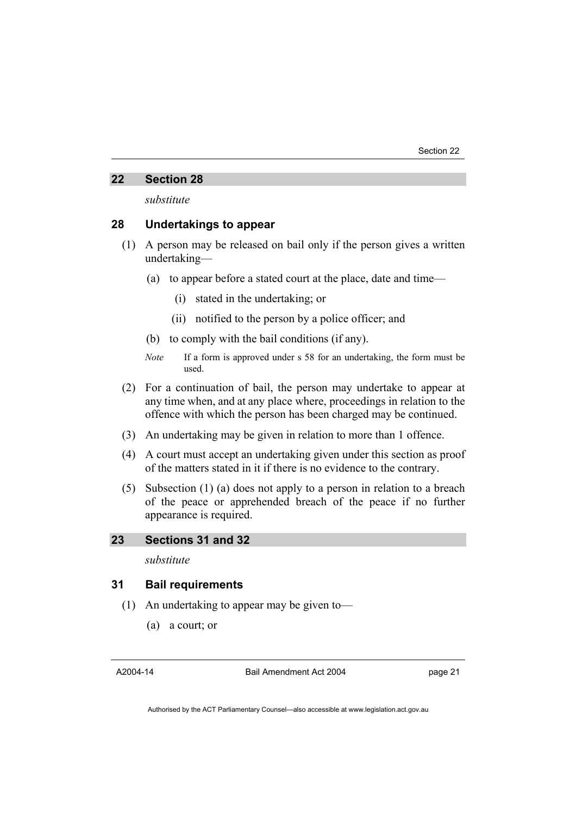#### **22 Section 28**

*substitute* 

## **28 Undertakings to appear**

- (1) A person may be released on bail only if the person gives a written undertaking—
	- (a) to appear before a stated court at the place, date and time—
		- (i) stated in the undertaking; or
		- (ii) notified to the person by a police officer; and
	- (b) to comply with the bail conditions (if any).
	- *Note* If a form is approved under s 58 for an undertaking, the form must be used.
- (2) For a continuation of bail, the person may undertake to appear at any time when, and at any place where, proceedings in relation to the offence with which the person has been charged may be continued.
- (3) An undertaking may be given in relation to more than 1 offence.
- (4) A court must accept an undertaking given under this section as proof of the matters stated in it if there is no evidence to the contrary.
- (5) Subsection (1) (a) does not apply to a person in relation to a breach of the peace or apprehended breach of the peace if no further appearance is required.

## **23 Sections 31 and 32**

*substitute* 

### **31 Bail requirements**

- (1) An undertaking to appear may be given to—
	- (a) a court; or

A2004-14

Bail Amendment Act 2004

page 21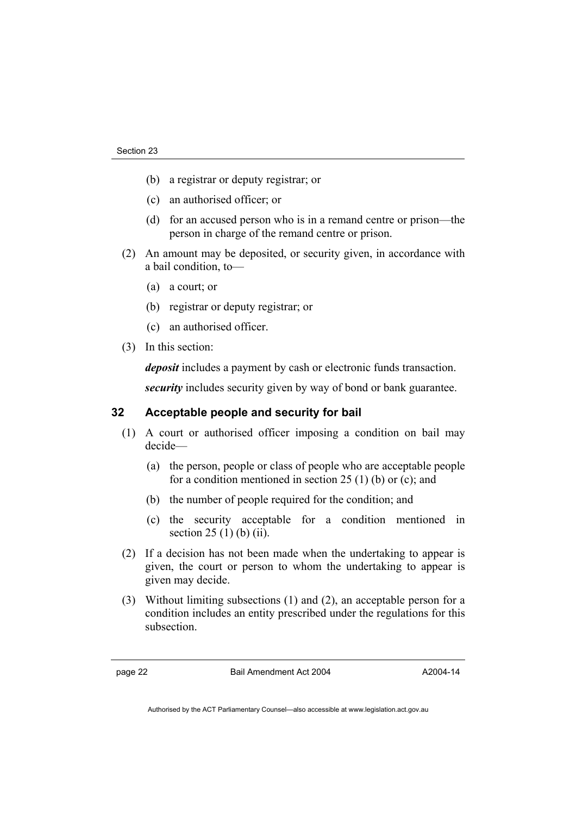- (b) a registrar or deputy registrar; or
- (c) an authorised officer; or
- (d) for an accused person who is in a remand centre or prison—the person in charge of the remand centre or prison.
- (2) An amount may be deposited, or security given, in accordance with a bail condition, to—
	- (a) a court; or
	- (b) registrar or deputy registrar; or
	- (c) an authorised officer.
- (3) In this section:

*deposit* includes a payment by cash or electronic funds transaction.

*security* includes security given by way of bond or bank guarantee.

## **32 Acceptable people and security for bail**

- (1) A court or authorised officer imposing a condition on bail may decide—
	- (a) the person, people or class of people who are acceptable people for a condition mentioned in section 25  $(1)$  (b) or (c); and
	- (b) the number of people required for the condition; and
	- (c) the security acceptable for a condition mentioned in section  $25(1)$  (b) (ii).
- (2) If a decision has not been made when the undertaking to appear is given, the court or person to whom the undertaking to appear is given may decide.
- (3) Without limiting subsections (1) and (2), an acceptable person for a condition includes an entity prescribed under the regulations for this subsection.

page 22 Bail Amendment Act 2004

A2004-14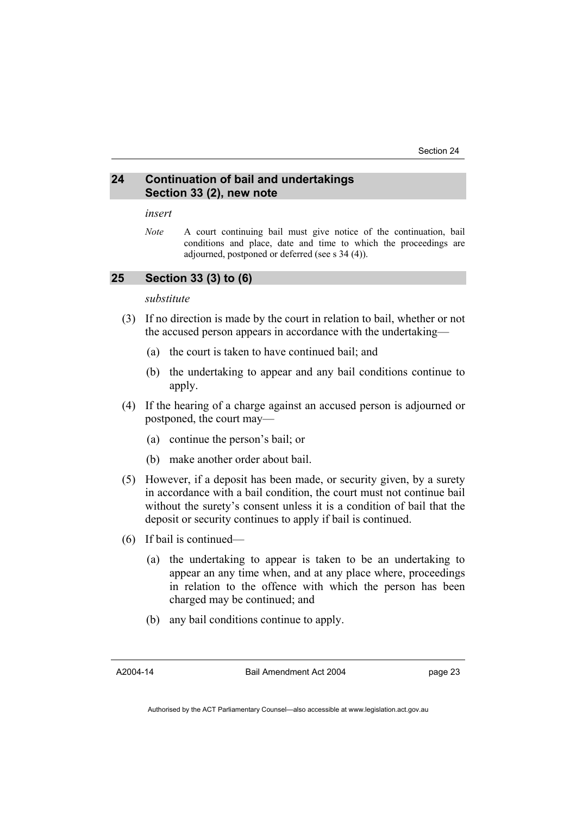## **24 Continuation of bail and undertakings Section 33 (2), new note**

#### *insert*

*Note* A court continuing bail must give notice of the continuation, bail conditions and place, date and time to which the proceedings are adjourned, postponed or deferred (see s 34 (4)).

## **25 Section 33 (3) to (6)**

#### *substitute*

- (3) If no direction is made by the court in relation to bail, whether or not the accused person appears in accordance with the undertaking—
	- (a) the court is taken to have continued bail; and
	- (b) the undertaking to appear and any bail conditions continue to apply.
- (4) If the hearing of a charge against an accused person is adjourned or postponed, the court may—
	- (a) continue the person's bail; or
	- (b) make another order about bail.
- (5) However, if a deposit has been made, or security given, by a surety in accordance with a bail condition, the court must not continue bail without the surety's consent unless it is a condition of bail that the deposit or security continues to apply if bail is continued.
- (6) If bail is continued—
	- (a) the undertaking to appear is taken to be an undertaking to appear an any time when, and at any place where, proceedings in relation to the offence with which the person has been charged may be continued; and
	- (b) any bail conditions continue to apply.

A2004-14

Bail Amendment Act 2004

page 23

Authorised by the ACT Parliamentary Counsel—also accessible at www.legislation.act.gov.au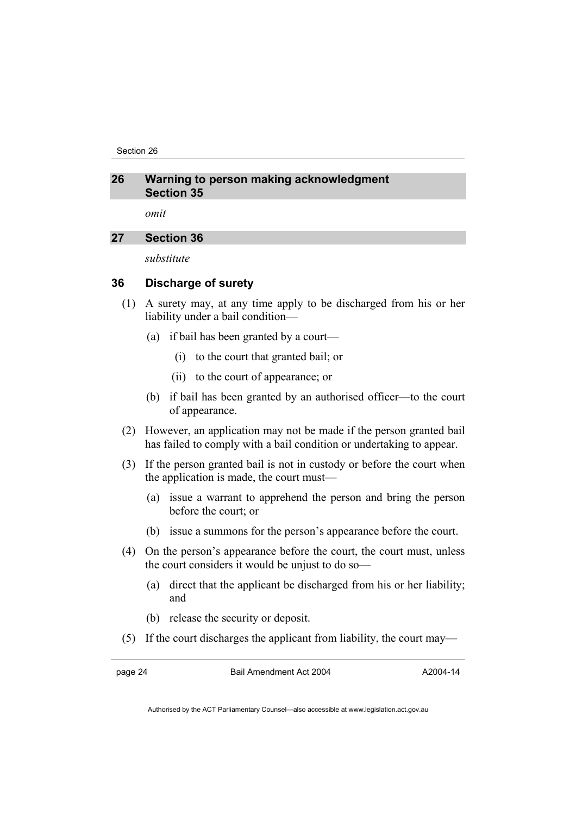Section 26

## **26 Warning to person making acknowledgment Section 35**

*omit* 

## **27 Section 36**

*substitute* 

## **36 Discharge of surety**

- (1) A surety may, at any time apply to be discharged from his or her liability under a bail condition—
	- (a) if bail has been granted by a court—
		- (i) to the court that granted bail; or
		- (ii) to the court of appearance; or
	- (b) if bail has been granted by an authorised officer—to the court of appearance.
- (2) However, an application may not be made if the person granted bail has failed to comply with a bail condition or undertaking to appear.
- (3) If the person granted bail is not in custody or before the court when the application is made, the court must—
	- (a) issue a warrant to apprehend the person and bring the person before the court; or
	- (b) issue a summons for the person's appearance before the court.
- (4) On the person's appearance before the court, the court must, unless the court considers it would be unjust to do so—
	- (a) direct that the applicant be discharged from his or her liability; and
	- (b) release the security or deposit.
- (5) If the court discharges the applicant from liability, the court may—

page 24 Bail Amendment Act 2004

A2004-14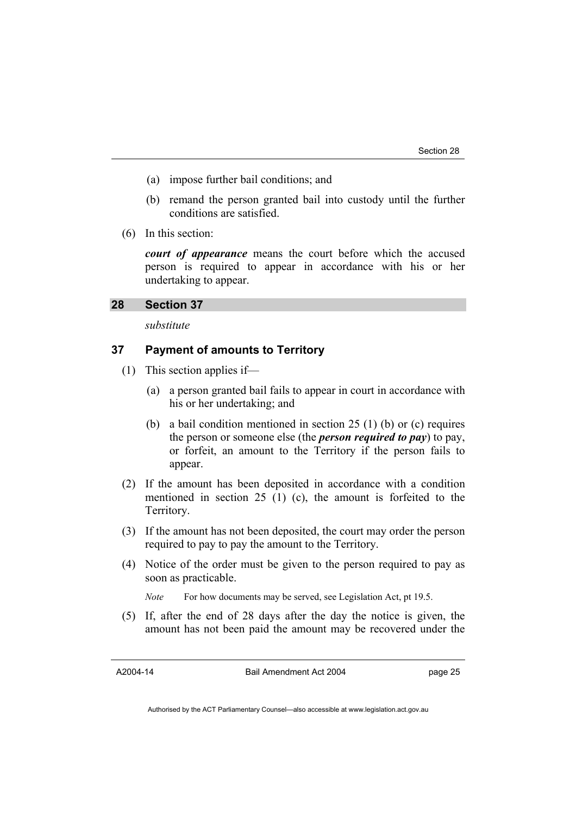- (a) impose further bail conditions; and
- (b) remand the person granted bail into custody until the further conditions are satisfied.
- (6) In this section:

*court of appearance* means the court before which the accused person is required to appear in accordance with his or her undertaking to appear.

#### **28 Section 37**

*substitute* 

## **37 Payment of amounts to Territory**

- (1) This section applies if—
	- (a) a person granted bail fails to appear in court in accordance with his or her undertaking; and
	- (b) a bail condition mentioned in section 25 (1) (b) or (c) requires the person or someone else (the *person required to pay*) to pay, or forfeit, an amount to the Territory if the person fails to appear.
- (2) If the amount has been deposited in accordance with a condition mentioned in section 25 (1) (c), the amount is forfeited to the Territory.
- (3) If the amount has not been deposited, the court may order the person required to pay to pay the amount to the Territory.
- (4) Notice of the order must be given to the person required to pay as soon as practicable.

*Note* For how documents may be served, see Legislation Act, pt 19.5.

 (5) If, after the end of 28 days after the day the notice is given, the amount has not been paid the amount may be recovered under the

A2004-14

Bail Amendment Act 2004

page 25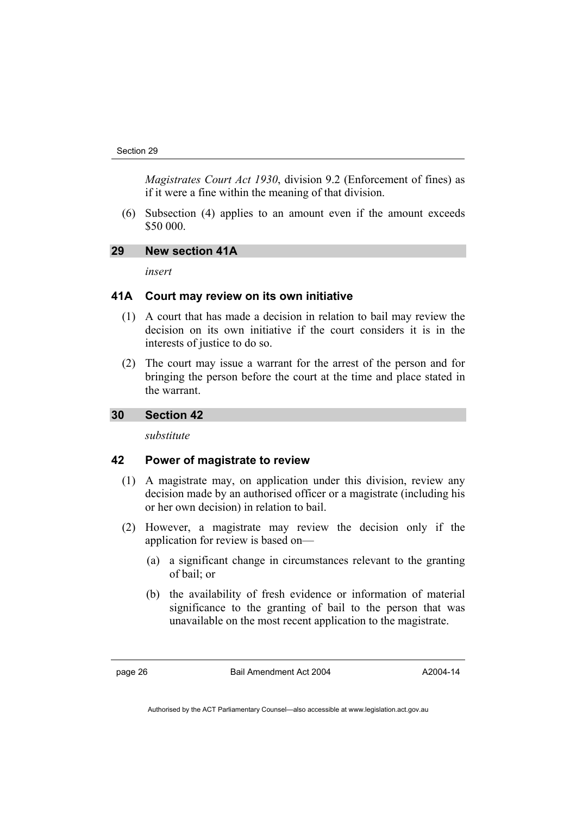*Magistrates Court Act 1930*, division 9.2 (Enforcement of fines) as if it were a fine within the meaning of that division.

 (6) Subsection (4) applies to an amount even if the amount exceeds \$50 000.

## **29 New section 41A**

*insert* 

#### **41A Court may review on its own initiative**

- (1) A court that has made a decision in relation to bail may review the decision on its own initiative if the court considers it is in the interests of justice to do so.
- (2) The court may issue a warrant for the arrest of the person and for bringing the person before the court at the time and place stated in the warrant.

### **30 Section 42**

*substitute* 

#### **42 Power of magistrate to review**

- (1) A magistrate may, on application under this division, review any decision made by an authorised officer or a magistrate (including his or her own decision) in relation to bail.
- (2) However, a magistrate may review the decision only if the application for review is based on—
	- (a) a significant change in circumstances relevant to the granting of bail; or
	- (b) the availability of fresh evidence or information of material significance to the granting of bail to the person that was unavailable on the most recent application to the magistrate.

page 26 Bail Amendment Act 2004

A2004-14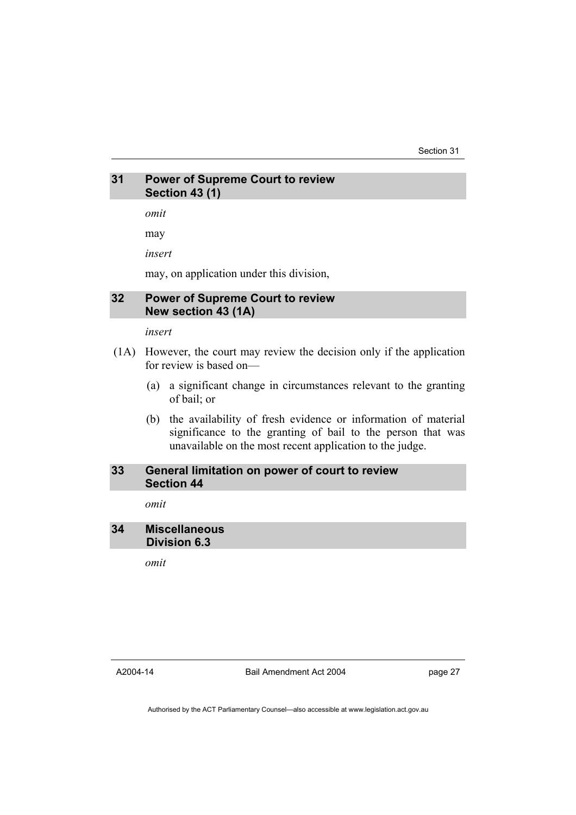## **31 Power of Supreme Court to review Section 43 (1)**

*omit* 

may

*insert* 

may, on application under this division,

## **32 Power of Supreme Court to review New section 43 (1A)**

*insert* 

- (1A) However, the court may review the decision only if the application for review is based on—
	- (a) a significant change in circumstances relevant to the granting of bail; or
	- (b) the availability of fresh evidence or information of material significance to the granting of bail to the person that was unavailable on the most recent application to the judge.

#### **33 General limitation on power of court to review Section 44**

*omit* 

## **34 Miscellaneous Division 6.3**

*omit* 

A2004-14

Bail Amendment Act 2004

page 27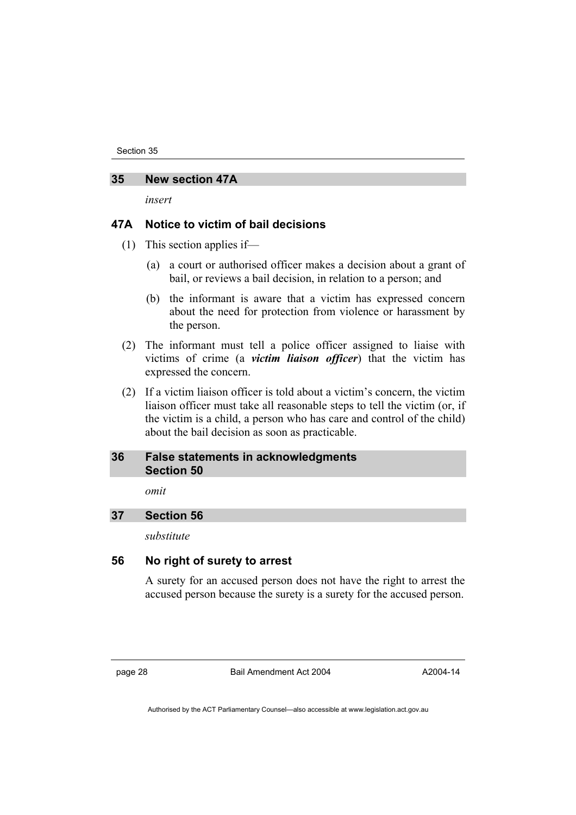## **35 New section 47A**

*insert* 

## **47A Notice to victim of bail decisions**

- (1) This section applies if—
	- (a) a court or authorised officer makes a decision about a grant of bail, or reviews a bail decision, in relation to a person; and
	- (b) the informant is aware that a victim has expressed concern about the need for protection from violence or harassment by the person.
- (2) The informant must tell a police officer assigned to liaise with victims of crime (a *victim liaison officer*) that the victim has expressed the concern.
- (2) If a victim liaison officer is told about a victim's concern, the victim liaison officer must take all reasonable steps to tell the victim (or, if the victim is a child, a person who has care and control of the child) about the bail decision as soon as practicable.

#### **36 False statements in acknowledgments Section 50**

*omit* 

## **37 Section 56**

*substitute* 

## **56 No right of surety to arrest**

A surety for an accused person does not have the right to arrest the accused person because the surety is a surety for the accused person.

page 28 Bail Amendment Act 2004

A2004-14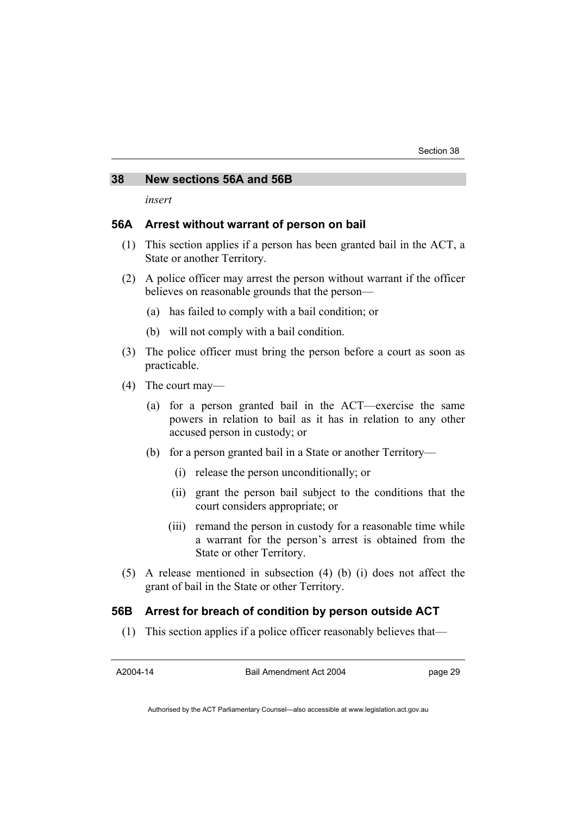### **38 New sections 56A and 56B**

*insert* 

#### **56A Arrest without warrant of person on bail**

- (1) This section applies if a person has been granted bail in the ACT, a State or another Territory.
- (2) A police officer may arrest the person without warrant if the officer believes on reasonable grounds that the person—
	- (a) has failed to comply with a bail condition; or
	- (b) will not comply with a bail condition.
- (3) The police officer must bring the person before a court as soon as practicable.
- (4) The court may—
	- (a) for a person granted bail in the ACT—exercise the same powers in relation to bail as it has in relation to any other accused person in custody; or
	- (b) for a person granted bail in a State or another Territory—
		- (i) release the person unconditionally; or
		- (ii) grant the person bail subject to the conditions that the court considers appropriate; or
		- (iii) remand the person in custody for a reasonable time while a warrant for the person's arrest is obtained from the State or other Territory.
- (5) A release mentioned in subsection (4) (b) (i) does not affect the grant of bail in the State or other Territory.

### **56B Arrest for breach of condition by person outside ACT**

(1) This section applies if a police officer reasonably believes that—

A2004-14

Bail Amendment Act 2004

page 29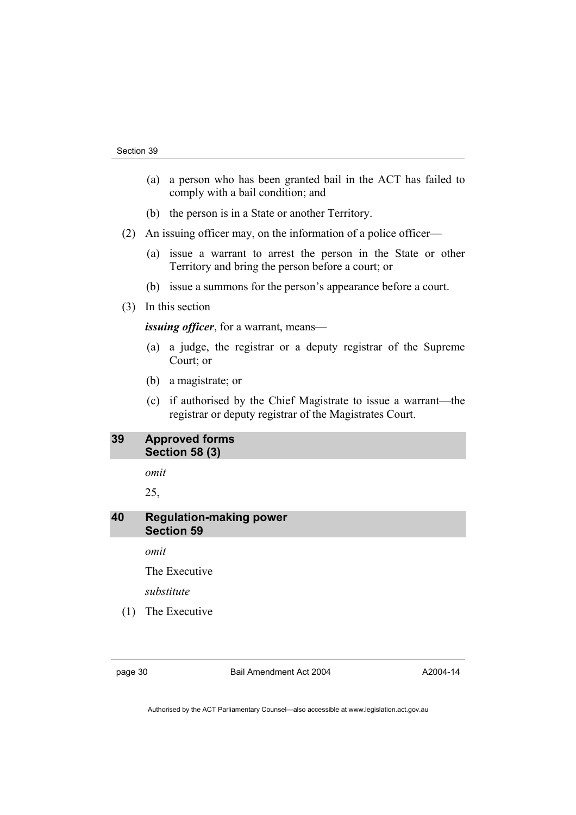- (a) a person who has been granted bail in the ACT has failed to comply with a bail condition; and
- (b) the person is in a State or another Territory.
- (2) An issuing officer may, on the information of a police officer—
	- (a) issue a warrant to arrest the person in the State or other Territory and bring the person before a court; or
	- (b) issue a summons for the person's appearance before a court.
- (3) In this section

*issuing officer*, for a warrant, means—

- (a) a judge, the registrar or a deputy registrar of the Supreme Court; or
- (b) a magistrate; or
- (c) if authorised by the Chief Magistrate to issue a warrant—the registrar or deputy registrar of the Magistrates Court.

## **39 Approved forms Section 58 (3)**

*omit* 

25,

## **40 Regulation-making power Section 59**

*omit* 

The Executive

*substitute* 

(1) The Executive

page 30 Bail Amendment Act 2004

A2004-14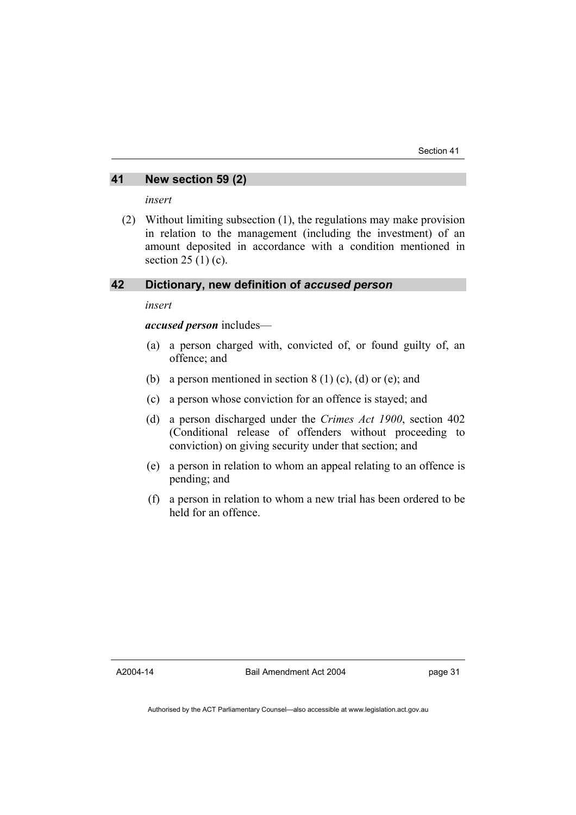## **41 New section 59 (2)**

*insert* 

 (2) Without limiting subsection (1), the regulations may make provision in relation to the management (including the investment) of an amount deposited in accordance with a condition mentioned in section 25 (1) (c).

## **42 Dictionary, new definition of** *accused person*

*insert* 

*accused person* includes—

- (a) a person charged with, convicted of, or found guilty of, an offence; and
- (b) a person mentioned in section  $8(1)(c)$ , (d) or (e); and
- (c) a person whose conviction for an offence is stayed; and
- (d) a person discharged under the *Crimes Act 1900*, section 402 (Conditional release of offenders without proceeding to conviction) on giving security under that section; and
- (e) a person in relation to whom an appeal relating to an offence is pending; and
- (f) a person in relation to whom a new trial has been ordered to be held for an offence.

A2004-14

Bail Amendment Act 2004

page 31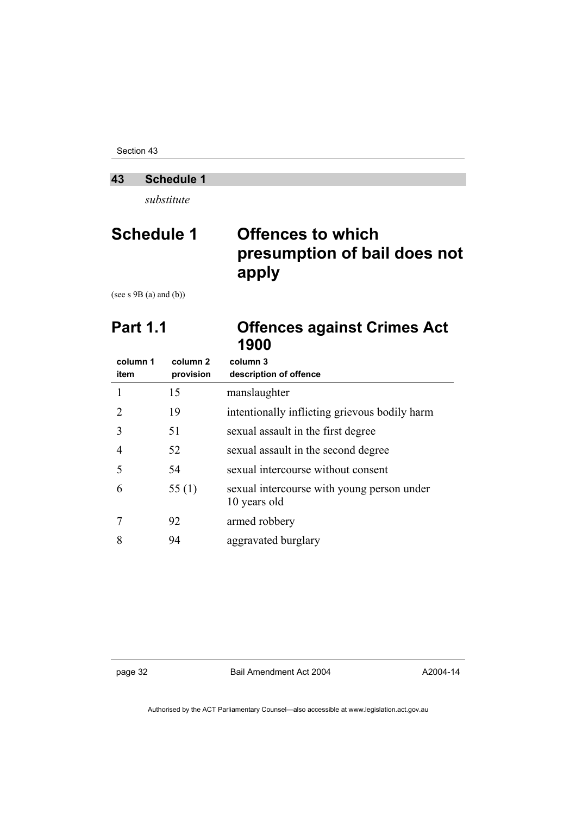Section 43

## **43 Schedule 1**

*substitute* 

## **Schedule 1 Offences to which presumption of bail does not apply**

(see s 9B (a) and (b))

| <b>Part 1.1</b> | <b>Offences against Crimes Act</b> |
|-----------------|------------------------------------|
|                 | 1900                               |

| column 1<br>item | column <sub>2</sub><br>provision | column 3<br>description of offence                         |
|------------------|----------------------------------|------------------------------------------------------------|
|                  | 15                               | manslaughter                                               |
| $\mathcal{L}$    | 19                               | intentionally inflicting grievous bodily harm              |
| 3                | 51                               | sexual assault in the first degree                         |
| 4                | 52                               | sexual assault in the second degree                        |
| 5                | 54                               | sexual intercourse without consent                         |
| 6                | 55 $(1)$                         | sexual intercourse with young person under<br>10 years old |
|                  | 92                               | armed robbery                                              |
| 8                | 94                               | aggravated burglary                                        |

page 32 Bail Amendment Act 2004

A2004-14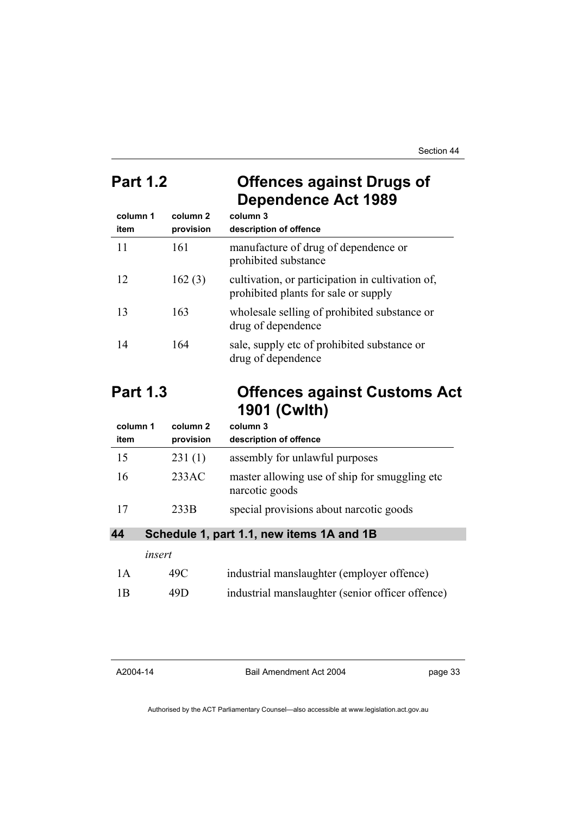Section 44

## **Part 1.2 Offences against Drugs of Dependence Act 1989**

| column 1<br>item | column <sub>2</sub><br>provision | column 3<br>description of offence                                                       |
|------------------|----------------------------------|------------------------------------------------------------------------------------------|
| 11               | 161                              | manufacture of drug of dependence or<br>prohibited substance                             |
| 12               | 162(3)                           | cultivation, or participation in cultivation of,<br>prohibited plants for sale or supply |
| 13               | 163                              | wholesale selling of prohibited substance or<br>drug of dependence                       |
| 14               | 164                              | sale, supply etc of prohibited substance or<br>drug of dependence                        |

## **Part 1.3 Offences against Customs Act 1901 (Cwlth)**

| column 1<br>item | column 2<br>provision | column 3<br>description of offence                               |
|------------------|-----------------------|------------------------------------------------------------------|
| 15               | 231(1)                | assembly for unlawful purposes                                   |
| 16               | 233AC                 | master allowing use of ship for smuggling etc.<br>narcotic goods |
| 17               | 233B                  | special provisions about narcotic goods                          |

**44 Schedule 1, part 1.1, new items 1A and 1B** 

|     | insert |                                                  |
|-----|--------|--------------------------------------------------|
| 1 A | 49C    | industrial manslaughter (employer offence)       |
| 1B  | 49D    | industrial manslaughter (senior officer offence) |

Bail Amendment Act 2004

page 33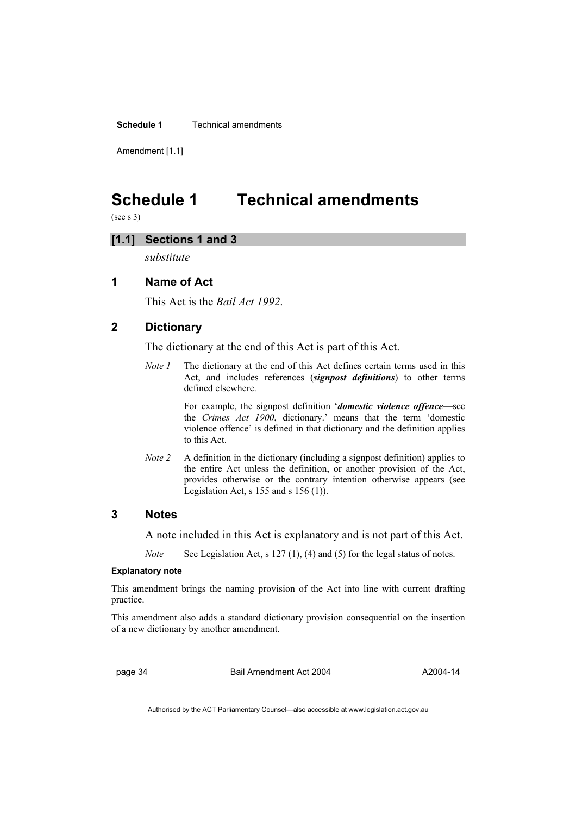**Schedule 1** Technical amendments

Amendment [1.1]

## **Schedule 1 Technical amendments**

(see s 3)

## **[1.1] Sections 1 and 3**

*substitute* 

## **1 Name of Act**

This Act is the *Bail Act 1992*.

## **2 Dictionary**

The dictionary at the end of this Act is part of this Act.

*Note 1* The dictionary at the end of this Act defines certain terms used in this Act, and includes references (*signpost definitions*) to other terms defined elsewhere.

> For example, the signpost definition '*domestic violence offence—*see the *Crimes Act 1900*, dictionary.' means that the term 'domestic violence offence' is defined in that dictionary and the definition applies to this Act.

*Note 2* A definition in the dictionary (including a signpost definition) applies to the entire Act unless the definition, or another provision of the Act, provides otherwise or the contrary intention otherwise appears (see Legislation Act,  $s$  155 and  $s$  156 (1)).

## **3 Notes**

A note included in this Act is explanatory and is not part of this Act.

*Note* See Legislation Act, s 127 (1), (4) and (5) for the legal status of notes.

#### **Explanatory note**

This amendment brings the naming provision of the Act into line with current drafting practice.

This amendment also adds a standard dictionary provision consequential on the insertion of a new dictionary by another amendment.

page 34 Bail Amendment Act 2004

A2004-14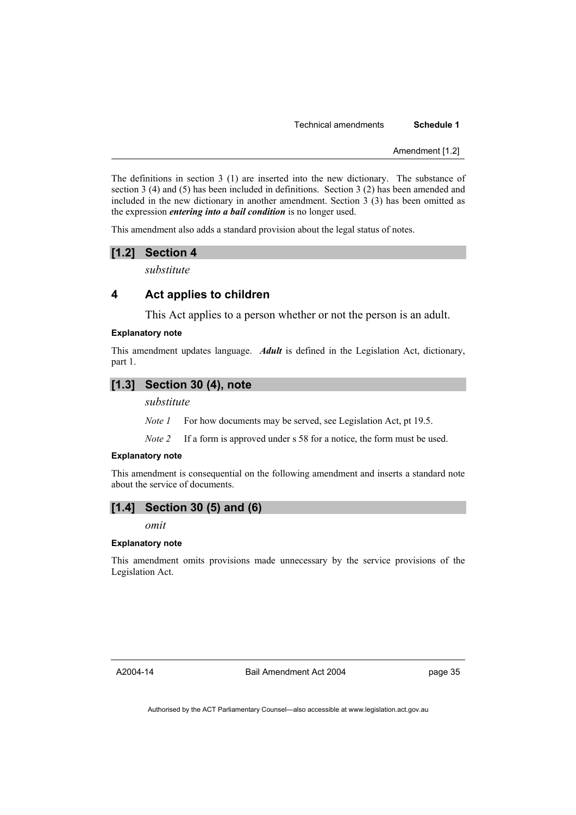#### Technical amendments **Schedule 1**

Amendment [1.2]

The definitions in section 3 (1) are inserted into the new dictionary. The substance of section 3 (4) and (5) has been included in definitions. Section 3 (2) has been amended and included in the new dictionary in another amendment. Section 3 (3) has been omitted as the expression *entering into a bail condition* is no longer used.

This amendment also adds a standard provision about the legal status of notes.

#### **[1.2] Section 4**

*substitute* 

### **4 Act applies to children**

This Act applies to a person whether or not the person is an adult.

#### **Explanatory note**

This amendment updates language. *Adult* is defined in the Legislation Act, dictionary, part 1.

#### **[1.3] Section 30 (4), note**

#### *substitute*

*Note 1* For how documents may be served, see Legislation Act, pt 19.5.

*Note 2* If a form is approved under s 58 for a notice, the form must be used.

#### **Explanatory note**

This amendment is consequential on the following amendment and inserts a standard note about the service of documents.

### **[1.4] Section 30 (5) and (6)**

*omit* 

#### **Explanatory note**

This amendment omits provisions made unnecessary by the service provisions of the Legislation Act.

A2004-14

Bail Amendment Act 2004

page 35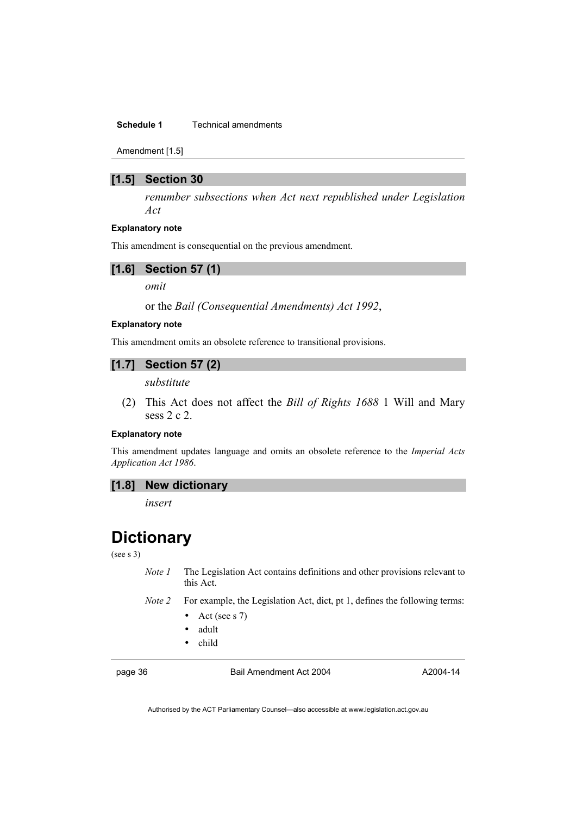#### **Schedule 1 Technical amendments**

Amendment [1.5]

#### **[1.5] Section 30**

*renumber subsections when Act next republished under Legislation Act* 

#### **Explanatory note**

This amendment is consequential on the previous amendment.

#### **[1.6] Section 57 (1)**

*omit* 

or the *Bail (Consequential Amendments) Act 1992*,

#### **Explanatory note**

This amendment omits an obsolete reference to transitional provisions.

## **[1.7] Section 57 (2)**

*substitute* 

 (2) This Act does not affect the *Bill of Rights 1688* 1 Will and Mary sess 2 c 2.

#### **Explanatory note**

This amendment updates language and omits an obsolete reference to the *Imperial Acts Application Act 1986*.

## **[1.8] New dictionary**

*insert* 

## **Dictionary**

(see s 3)

*Note 1* The Legislation Act contains definitions and other provisions relevant to this Act.

- *Note 2* For example, the Legislation Act, dict, pt 1, defines the following terms:
	- Act (see s 7)
	- adult
	- child

page 36 Bail Amendment Act 2004

A2004-14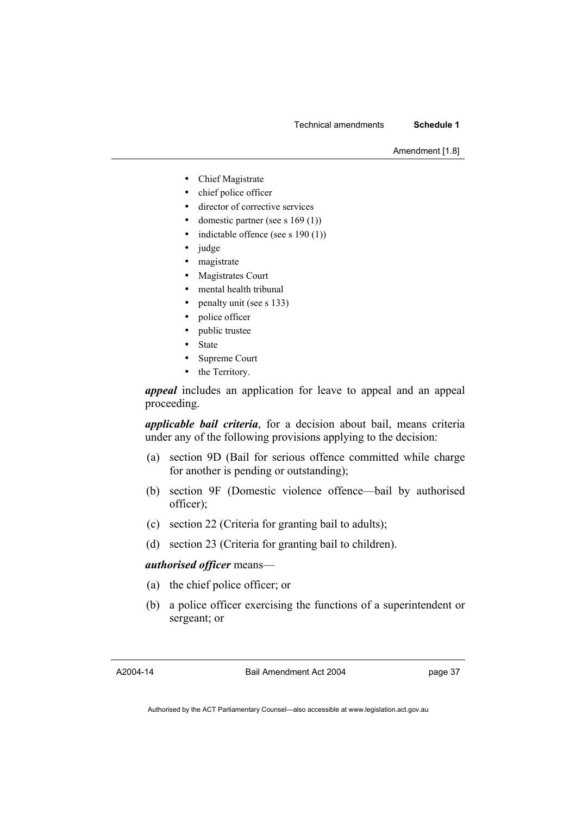#### Technical amendments **Schedule 1**

Amendment [1.8]

- Chief Magistrate
- chief police officer
- director of corrective services
- domestic partner (see s  $169(1)$ )
- indictable offence (see s  $190(1)$ )
- judge
- magistrate
- Magistrates Court
- mental health tribunal
- penalty unit (see s 133)
- police officer
- public trustee
- **State**
- Supreme Court
- the Territory.

*appeal* includes an application for leave to appeal and an appeal proceeding.

*applicable bail criteria*, for a decision about bail, means criteria under any of the following provisions applying to the decision:

- (a) section 9D (Bail for serious offence committed while charge for another is pending or outstanding);
- (b) section 9F (Domestic violence offence—bail by authorised officer);
- (c) section 22 (Criteria for granting bail to adults);
- (d) section 23 (Criteria for granting bail to children).

#### *authorised officer* means—

- (a) the chief police officer; or
- (b) a police officer exercising the functions of a superintendent or sergeant; or

A2004-14

Bail Amendment Act 2004

page 37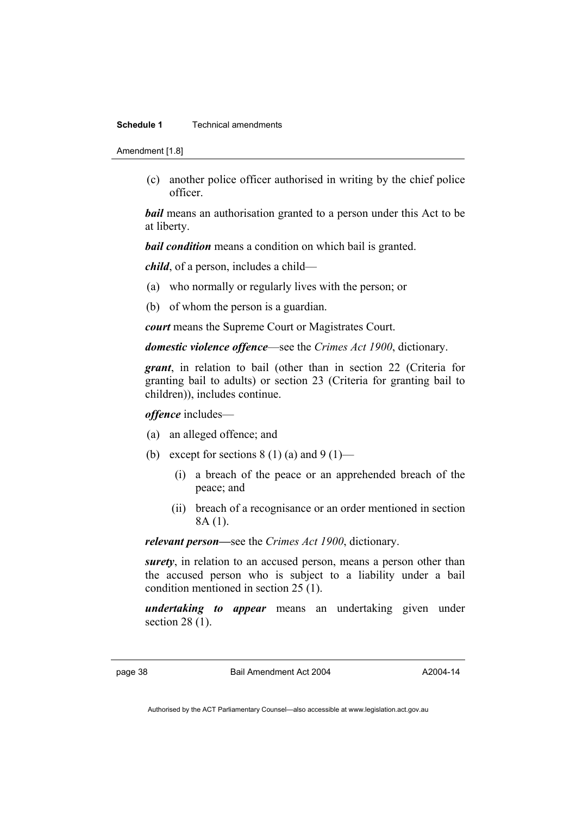#### **Schedule 1** Technical amendments

Amendment [1.8]

 (c) another police officer authorised in writing by the chief police officer.

*bail* means an authorisation granted to a person under this Act to be at liberty.

*bail condition* means a condition on which bail is granted.

*child*, of a person, includes a child—

- (a) who normally or regularly lives with the person; or
- (b) of whom the person is a guardian.

*court* means the Supreme Court or Magistrates Court.

*domestic violence offence*—see the *Crimes Act 1900*, dictionary.

*grant*, in relation to bail (other than in section 22 (Criteria for granting bail to adults) or section 23 (Criteria for granting bail to children)), includes continue.

*offence* includes—

- (a) an alleged offence; and
- (b) except for sections  $8(1)(a)$  and  $9(1)$ 
	- (i) a breach of the peace or an apprehended breach of the peace; and
	- (ii) breach of a recognisance or an order mentioned in section 8A (1).

*relevant person—*see the *Crimes Act 1900*, dictionary.

*surety*, in relation to an accused person, means a person other than the accused person who is subject to a liability under a bail condition mentioned in section 25 (1).

*undertaking to appear* means an undertaking given under section 28 (1).

page 38 Bail Amendment Act 2004

A2004-14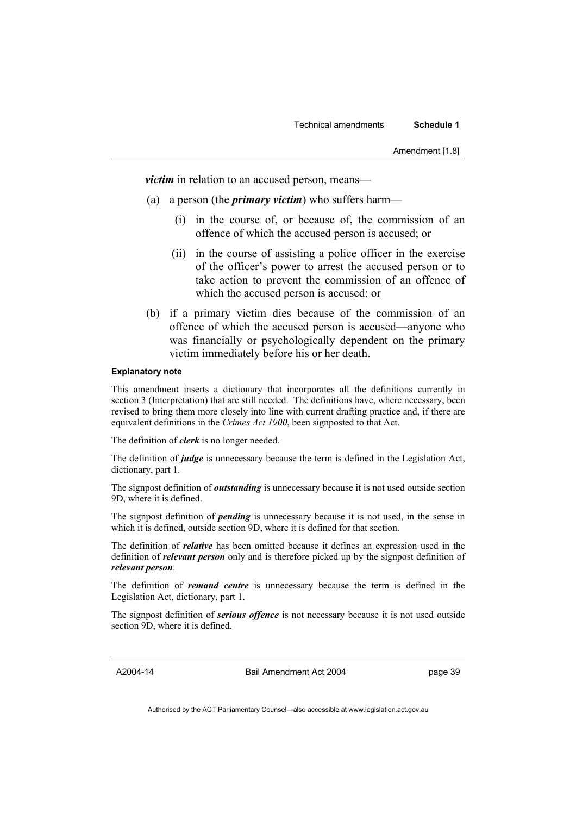*victim* in relation to an accused person, means—

- (a) a person (the *primary victim*) who suffers harm—
	- (i) in the course of, or because of, the commission of an offence of which the accused person is accused; or
	- (ii) in the course of assisting a police officer in the exercise of the officer's power to arrest the accused person or to take action to prevent the commission of an offence of which the accused person is accused; or
- (b) if a primary victim dies because of the commission of an offence of which the accused person is accused—anyone who was financially or psychologically dependent on the primary victim immediately before his or her death.

#### **Explanatory note**

This amendment inserts a dictionary that incorporates all the definitions currently in section 3 (Interpretation) that are still needed. The definitions have, where necessary, been revised to bring them more closely into line with current drafting practice and, if there are equivalent definitions in the *Crimes Act 1900*, been signposted to that Act.

The definition of *clerk* is no longer needed.

The definition of *judge* is unnecessary because the term is defined in the Legislation Act, dictionary, part 1.

The signpost definition of *outstanding* is unnecessary because it is not used outside section 9D, where it is defined.

The signpost definition of *pending* is unnecessary because it is not used, in the sense in which it is defined, outside section 9D, where it is defined for that section.

The definition of *relative* has been omitted because it defines an expression used in the definition of *relevant person* only and is therefore picked up by the signpost definition of *relevant person*.

The definition of *remand centre* is unnecessary because the term is defined in the Legislation Act, dictionary, part 1.

The signpost definition of *serious offence* is not necessary because it is not used outside section 9D, where it is defined.

A2004-14

Bail Amendment Act 2004

page 39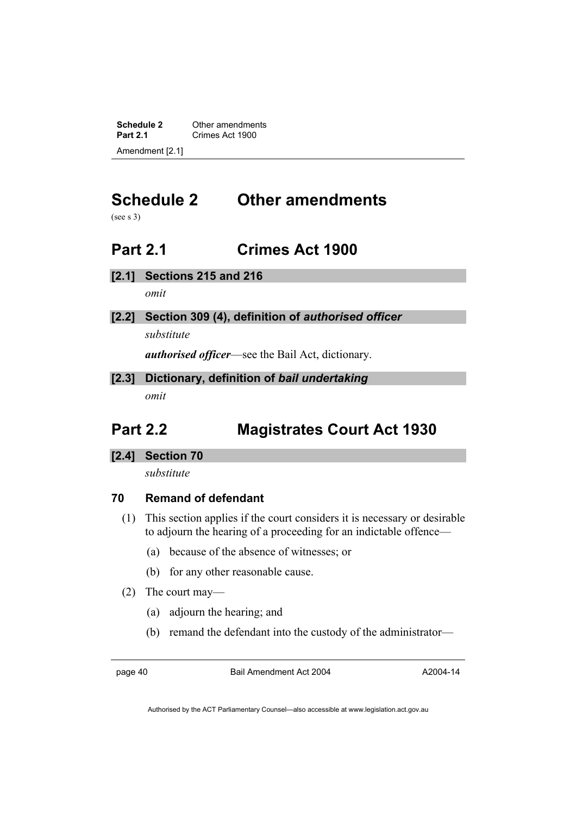**Schedule 2** Other amendments<br> **Part 2.1** Crimes Act 1900 **Part 2.1** Crimes Act 1900 Amendment [2.1]

# **Schedule 2 Other amendments**

(see s 3)

## **Part 2.1 Crimes Act 1900**

**[2.1] Sections 215 and 216** 

*omit* 

## **[2.2] Section 309 (4), definition of** *authorised officer*

*substitute* 

*authorised officer*—see the Bail Act, dictionary.

**[2.3] Dictionary, definition of** *bail undertaking omit* 

## **Part 2.2 Magistrates Court Act 1930**

## **[2.4] Section 70**

*substitute* 

## **70 Remand of defendant**

- (1) This section applies if the court considers it is necessary or desirable to adjourn the hearing of a proceeding for an indictable offence—
	- (a) because of the absence of witnesses; or
	- (b) for any other reasonable cause.
- (2) The court may—
	- (a) adjourn the hearing; and
	- (b) remand the defendant into the custody of the administrator—

page 40 Bail Amendment Act 2004

A2004-14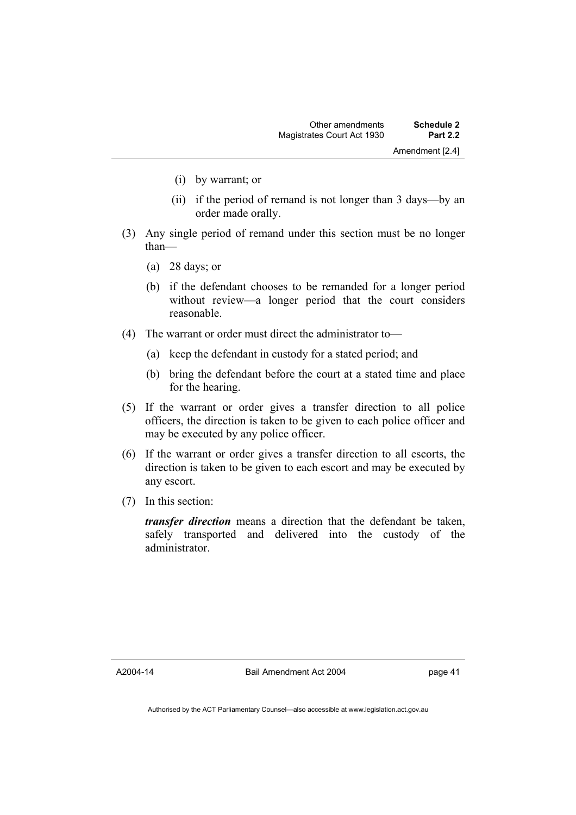- (i) by warrant; or
- (ii) if the period of remand is not longer than 3 days—by an order made orally.
- (3) Any single period of remand under this section must be no longer than—
	- (a) 28 days; or
	- (b) if the defendant chooses to be remanded for a longer period without review—a longer period that the court considers reasonable.
- (4) The warrant or order must direct the administrator to—
	- (a) keep the defendant in custody for a stated period; and
	- (b) bring the defendant before the court at a stated time and place for the hearing.
- (5) If the warrant or order gives a transfer direction to all police officers, the direction is taken to be given to each police officer and may be executed by any police officer.
- (6) If the warrant or order gives a transfer direction to all escorts, the direction is taken to be given to each escort and may be executed by any escort.
- (7) In this section:

*transfer direction* means a direction that the defendant be taken, safely transported and delivered into the custody of the administrator.

A2004-14

Bail Amendment Act 2004

page 41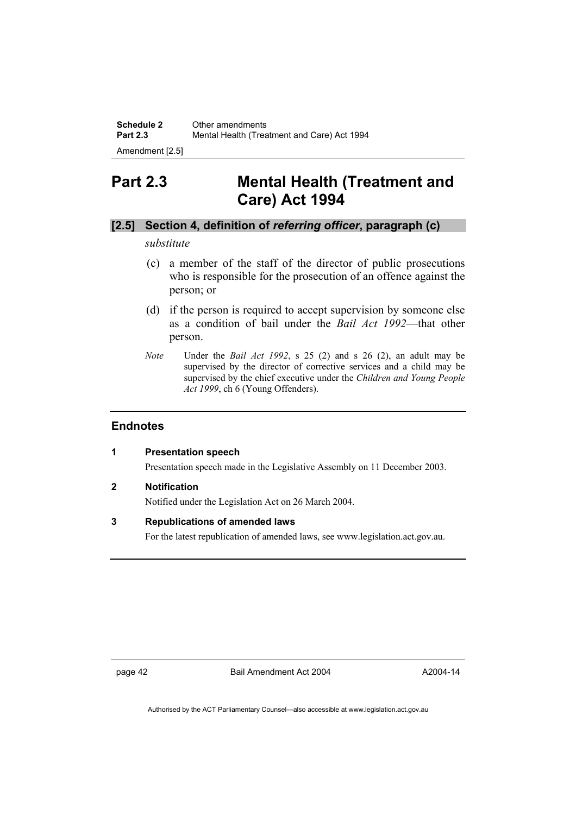**Schedule 2** Other amendments<br>**Part 2.3** Mental Health (Treat **Part 2.3** Mental Health (Treatment and Care) Act 1994

Amendment [2.5]

## **Part 2.3 Mental Health (Treatment and Care) Act 1994**

## **[2.5] Section 4, definition of** *referring officer***, paragraph (c)**

### *substitute*

- (c) a member of the staff of the director of public prosecutions who is responsible for the prosecution of an offence against the person; or
- (d) if the person is required to accept supervision by someone else as a condition of bail under the *Bail Act 1992*—that other person.
- *Note* Under the *Bail Act 1992*, s 25 (2) and s 26 (2), an adult may be supervised by the director of corrective services and a child may be supervised by the chief executive under the *Children and Young People Act 1999*, ch 6 (Young Offenders).

### **Endnotes**

#### **1 Presentation speech**

Presentation speech made in the Legislative Assembly on 11 December 2003.

#### **2 Notification**

Notified under the Legislation Act on 26 March 2004.

#### **3 Republications of amended laws**

For the latest republication of amended laws, see www.legislation.act.gov.au.

page 42 Bail Amendment Act 2004

A2004-14